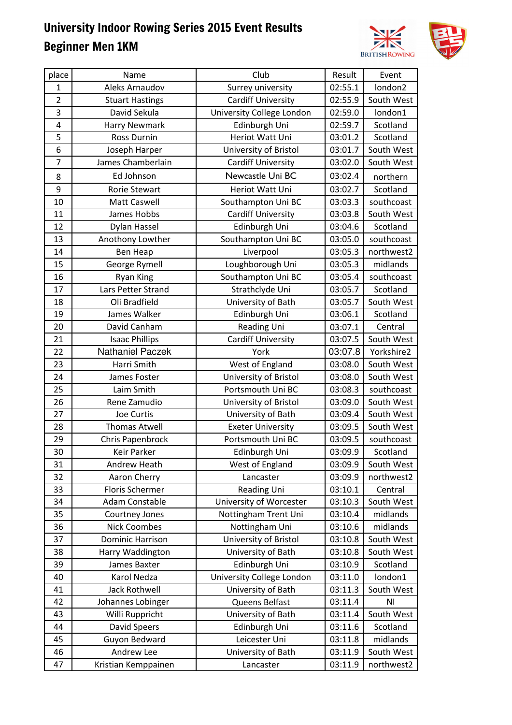

| place          | Name                    | Club                      | Result  | Event          |
|----------------|-------------------------|---------------------------|---------|----------------|
| 1              | Aleks Arnaudov          | Surrey university         | 02:55.1 | london2        |
| $\overline{2}$ | <b>Stuart Hastings</b>  | <b>Cardiff University</b> | 02:55.9 | South West     |
| 3              | David Sekula            | University College London | 02:59.0 | london1        |
| $\overline{4}$ | Harry Newmark           | Edinburgh Uni             | 02:59.7 | Scotland       |
| 5              | <b>Ross Durnin</b>      | Heriot Watt Uni           | 03:01.2 | Scotland       |
| 6              | Joseph Harper           | University of Bristol     | 03:01.7 | South West     |
| $\overline{7}$ | James Chamberlain       | <b>Cardiff University</b> | 03:02.0 | South West     |
| 8              | Ed Johnson              | Newcastle Uni BC          | 03:02.4 | northern       |
| 9              | Rorie Stewart           | Heriot Watt Uni           | 03:02.7 | Scotland       |
| 10             | <b>Matt Caswell</b>     | Southampton Uni BC        | 03:03.3 | southcoast     |
| 11             | James Hobbs             | <b>Cardiff University</b> | 03:03.8 | South West     |
| 12             | Dylan Hassel            | Edinburgh Uni             | 03:04.6 | Scotland       |
| 13             | Anothony Lowther        | Southampton Uni BC        | 03:05.0 | southcoast     |
| 14             | Ben Heap                | Liverpool                 | 03:05.3 | northwest2     |
| 15             | George Rymell           | Loughborough Uni          | 03:05.3 | midlands       |
| 16             | <b>Ryan King</b>        | Southampton Uni BC        | 03:05.4 | southcoast     |
| 17             | Lars Petter Strand      | Strathclyde Uni           | 03:05.7 | Scotland       |
| 18             | Oli Bradfield           | University of Bath        | 03:05.7 | South West     |
| 19             | James Walker            | Edinburgh Uni             | 03:06.1 | Scotland       |
| 20             | David Canham            | <b>Reading Uni</b>        | 03:07.1 | Central        |
| 21             | <b>Isaac Phillips</b>   | <b>Cardiff University</b> | 03:07.5 | South West     |
| 22             | Nathaniel Paczek        | York                      | 03:07.8 | Yorkshire2     |
| 23             | Harri Smith             | West of England           | 03:08.0 | South West     |
| 24             | James Foster            | University of Bristol     | 03:08.0 | South West     |
| 25             | Laim Smith              | Portsmouth Uni BC         | 03:08.3 | southcoast     |
| 26             | Rene Zamudio            | University of Bristol     | 03:09.0 | South West     |
| 27             | Joe Curtis              | University of Bath        | 03:09.4 | South West     |
| 28             | <b>Thomas Atwell</b>    | <b>Exeter University</b>  | 03:09.5 | South West     |
| 29             | Chris Papenbrock        | Portsmouth Uni BC         | 03:09.5 | southcoast     |
| 30             | Keir Parker             | Edinburgh Uni             | 03:09.9 | Scotland       |
| 31             | Andrew Heath            | West of England           | 03:09.9 | South West     |
| 32             | Aaron Cherry            | Lancaster                 | 03:09.9 | northwest2     |
| 33             | <b>Floris Schermer</b>  | <b>Reading Uni</b>        | 03:10.1 | Central        |
| 34             | Adam Constable          | University of Worcester   | 03:10.3 | South West     |
| 35             | Courtney Jones          | Nottingham Trent Uni      | 03:10.4 | midlands       |
| 36             | <b>Nick Coombes</b>     | Nottingham Uni            | 03:10.6 | midlands       |
| 37             | <b>Dominic Harrison</b> | University of Bristol     | 03:10.8 | South West     |
| 38             | Harry Waddington        | University of Bath        | 03:10.8 | South West     |
| 39             | James Baxter            | Edinburgh Uni             | 03:10.9 | Scotland       |
| 40             | Karol Nedza             | University College London | 03:11.0 | london1        |
| 41             | Jack Rothwell           | University of Bath        | 03:11.3 | South West     |
| 42             | Johannes Lobinger       | Queens Belfast            | 03:11.4 | N <sub>1</sub> |
| 43             | Willi Ruppricht         | University of Bath        | 03:11.4 | South West     |
| 44             | <b>David Speers</b>     | Edinburgh Uni             | 03:11.6 | Scotland       |
| 45             | Guyon Bedward           | Leicester Uni             | 03:11.8 | midlands       |
| 46             | Andrew Lee              | University of Bath        | 03:11.9 | South West     |
| 47             | Kristian Kemppainen     | Lancaster                 | 03:11.9 | northwest2     |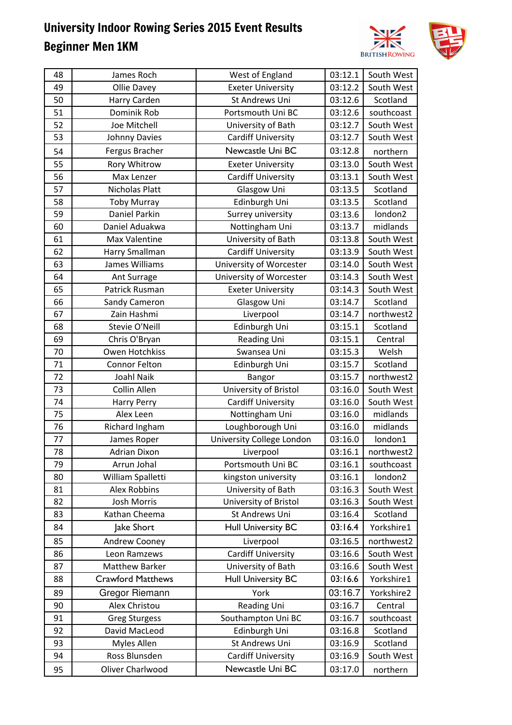

| 49<br><b>Exeter University</b><br>03:12.2<br>South West<br>Ollie Davey<br>50<br>St Andrews Uni<br>03:12.6<br>Harry Carden<br>Scotland<br>51<br>Dominik Rob<br>03:12.6<br>Portsmouth Uni BC<br>southcoast<br>52<br>Joe Mitchell<br>03:12.7<br>South West<br>University of Bath<br>53<br><b>Cardiff University</b><br>03:12.7<br>South West<br>Johnny Davies<br>Newcastle Uni BC<br>03:12.8<br>Fergus Bracher<br>54<br>northern<br>55<br>South West<br>Rory Whitrow<br>03:13.0<br><b>Exeter University</b><br>56<br>03:13.1<br><b>Cardiff University</b><br>South West<br>Max Lenzer<br>57<br>Nicholas Platt<br>Glasgow Uni<br>03:13.5<br>Scotland<br>58<br>Edinburgh Uni<br>03:13.5<br><b>Toby Murray</b><br>Scotland<br>59<br>Daniel Parkin<br>Surrey university<br>03:13.6<br>london2<br>Nottingham Uni<br>03:13.7<br>midlands<br>60<br>Daniel Aduakwa<br>61<br>University of Bath<br>03:13.8<br><b>Max Valentine</b><br>South West<br>62<br><b>Cardiff University</b><br>03:13.9<br>South West<br>Harry Smallman<br>63<br>University of Worcester<br>03:14.0<br>South West<br>James Williams<br>64<br>University of Worcester<br>03:14.3<br>South West<br>Ant Surrage<br>65<br>Patrick Rusman<br>03:14.3<br>South West<br><b>Exeter University</b><br>03:14.7<br>Scotland<br>66<br>Glasgow Uni<br>Sandy Cameron<br>67<br>Liverpool<br>Zain Hashmi<br>03:14.7<br>northwest2<br>03:15.1<br>68<br>Stevie O'Neill<br>Edinburgh Uni<br>Scotland<br>69<br>Reading Uni<br>03:15.1<br>Central<br>Chris O'Bryan<br>70<br>Owen Hotchkiss<br>Swansea Uni<br>03:15.3<br>Welsh<br>71<br><b>Connor Felton</b><br>Edinburgh Uni<br>03:15.7<br>Scotland<br>72<br>Joahl Naik<br>03:15.7<br>northwest2<br>Bangor<br>73<br>Collin Allen<br>03:16.0<br>University of Bristol<br>South West<br>74<br>03:16.0<br>South West<br><b>Cardiff University</b><br>Harry Perry<br>75<br>03:16.0<br>Nottingham Uni<br>midlands<br>Alex Leen<br>76<br>Loughborough Uni<br>midlands<br>Richard Ingham<br>03:16.0<br>77<br>University College London<br>london1<br>James Roper<br>03:16.0<br>78<br><b>Adrian Dixon</b><br>Liverpool<br>03:16.1<br>northwest2<br>79<br>Arrun Johal<br>03:16.1<br>Portsmouth Uni BC<br>southcoast<br>William Spalletti<br>03:16.1<br>london2<br>kingston university<br>80<br><b>Alex Robbins</b><br>University of Bath<br>03:16.3<br>South West<br>81<br>03:16.3<br>South West<br>82<br>Josh Morris<br>University of Bristol<br>83<br>Kathan Cheema<br>St Andrews Uni<br>03:16.4<br>Scotland<br><b>Hull University BC</b><br>03:16.4<br>Yorkshire1<br>84<br>Jake Short<br><b>Andrew Cooney</b><br>Liverpool<br>03:16.5<br>northwest2<br>85<br>03:16.6<br>86<br><b>Cardiff University</b><br>South West<br>Leon Ramzews<br>87<br><b>Matthew Barker</b><br>University of Bath<br>03:16.6<br>South West<br><b>Crawford Matthews</b><br><b>Hull University BC</b><br>03:16.6<br>Yorkshire1<br>88<br>03:16.7<br>Gregor Riemann<br>89<br>York<br>Yorkshire2<br>Alex Christou<br>03:16.7<br>90<br><b>Reading Uni</b><br>Central<br>Southampton Uni BC<br>91<br>03:16.7<br>southcoast<br><b>Greg Sturgess</b><br>92<br>David MacLeod<br>Edinburgh Uni<br>Scotland<br>03:16.8<br>St Andrews Uni<br>Myles Allen<br>Scotland<br>93<br>03:16.9<br>Ross Blunsden<br><b>Cardiff University</b><br>03:16.9<br>South West<br>94<br>Newcastle Uni BC<br>Oliver Charlwood<br>03:17.0<br>95<br>northern | 48 | James Roch | West of England | 03:12.1 | South West |
|-------------------------------------------------------------------------------------------------------------------------------------------------------------------------------------------------------------------------------------------------------------------------------------------------------------------------------------------------------------------------------------------------------------------------------------------------------------------------------------------------------------------------------------------------------------------------------------------------------------------------------------------------------------------------------------------------------------------------------------------------------------------------------------------------------------------------------------------------------------------------------------------------------------------------------------------------------------------------------------------------------------------------------------------------------------------------------------------------------------------------------------------------------------------------------------------------------------------------------------------------------------------------------------------------------------------------------------------------------------------------------------------------------------------------------------------------------------------------------------------------------------------------------------------------------------------------------------------------------------------------------------------------------------------------------------------------------------------------------------------------------------------------------------------------------------------------------------------------------------------------------------------------------------------------------------------------------------------------------------------------------------------------------------------------------------------------------------------------------------------------------------------------------------------------------------------------------------------------------------------------------------------------------------------------------------------------------------------------------------------------------------------------------------------------------------------------------------------------------------------------------------------------------------------------------------------------------------------------------------------------------------------------------------------------------------------------------------------------------------------------------------------------------------------------------------------------------------------------------------------------------------------------------------------------------------------------------------------------------------------------------------------------------------------------------------------------------------------------------------------------------------------------------------------------------------------------------------------------------------------------------------------------------------------------------------------------------------------------------------------------------------|----|------------|-----------------|---------|------------|
|                                                                                                                                                                                                                                                                                                                                                                                                                                                                                                                                                                                                                                                                                                                                                                                                                                                                                                                                                                                                                                                                                                                                                                                                                                                                                                                                                                                                                                                                                                                                                                                                                                                                                                                                                                                                                                                                                                                                                                                                                                                                                                                                                                                                                                                                                                                                                                                                                                                                                                                                                                                                                                                                                                                                                                                                                                                                                                                                                                                                                                                                                                                                                                                                                                                                                                                                                                                     |    |            |                 |         |            |
|                                                                                                                                                                                                                                                                                                                                                                                                                                                                                                                                                                                                                                                                                                                                                                                                                                                                                                                                                                                                                                                                                                                                                                                                                                                                                                                                                                                                                                                                                                                                                                                                                                                                                                                                                                                                                                                                                                                                                                                                                                                                                                                                                                                                                                                                                                                                                                                                                                                                                                                                                                                                                                                                                                                                                                                                                                                                                                                                                                                                                                                                                                                                                                                                                                                                                                                                                                                     |    |            |                 |         |            |
|                                                                                                                                                                                                                                                                                                                                                                                                                                                                                                                                                                                                                                                                                                                                                                                                                                                                                                                                                                                                                                                                                                                                                                                                                                                                                                                                                                                                                                                                                                                                                                                                                                                                                                                                                                                                                                                                                                                                                                                                                                                                                                                                                                                                                                                                                                                                                                                                                                                                                                                                                                                                                                                                                                                                                                                                                                                                                                                                                                                                                                                                                                                                                                                                                                                                                                                                                                                     |    |            |                 |         |            |
|                                                                                                                                                                                                                                                                                                                                                                                                                                                                                                                                                                                                                                                                                                                                                                                                                                                                                                                                                                                                                                                                                                                                                                                                                                                                                                                                                                                                                                                                                                                                                                                                                                                                                                                                                                                                                                                                                                                                                                                                                                                                                                                                                                                                                                                                                                                                                                                                                                                                                                                                                                                                                                                                                                                                                                                                                                                                                                                                                                                                                                                                                                                                                                                                                                                                                                                                                                                     |    |            |                 |         |            |
|                                                                                                                                                                                                                                                                                                                                                                                                                                                                                                                                                                                                                                                                                                                                                                                                                                                                                                                                                                                                                                                                                                                                                                                                                                                                                                                                                                                                                                                                                                                                                                                                                                                                                                                                                                                                                                                                                                                                                                                                                                                                                                                                                                                                                                                                                                                                                                                                                                                                                                                                                                                                                                                                                                                                                                                                                                                                                                                                                                                                                                                                                                                                                                                                                                                                                                                                                                                     |    |            |                 |         |            |
|                                                                                                                                                                                                                                                                                                                                                                                                                                                                                                                                                                                                                                                                                                                                                                                                                                                                                                                                                                                                                                                                                                                                                                                                                                                                                                                                                                                                                                                                                                                                                                                                                                                                                                                                                                                                                                                                                                                                                                                                                                                                                                                                                                                                                                                                                                                                                                                                                                                                                                                                                                                                                                                                                                                                                                                                                                                                                                                                                                                                                                                                                                                                                                                                                                                                                                                                                                                     |    |            |                 |         |            |
|                                                                                                                                                                                                                                                                                                                                                                                                                                                                                                                                                                                                                                                                                                                                                                                                                                                                                                                                                                                                                                                                                                                                                                                                                                                                                                                                                                                                                                                                                                                                                                                                                                                                                                                                                                                                                                                                                                                                                                                                                                                                                                                                                                                                                                                                                                                                                                                                                                                                                                                                                                                                                                                                                                                                                                                                                                                                                                                                                                                                                                                                                                                                                                                                                                                                                                                                                                                     |    |            |                 |         |            |
|                                                                                                                                                                                                                                                                                                                                                                                                                                                                                                                                                                                                                                                                                                                                                                                                                                                                                                                                                                                                                                                                                                                                                                                                                                                                                                                                                                                                                                                                                                                                                                                                                                                                                                                                                                                                                                                                                                                                                                                                                                                                                                                                                                                                                                                                                                                                                                                                                                                                                                                                                                                                                                                                                                                                                                                                                                                                                                                                                                                                                                                                                                                                                                                                                                                                                                                                                                                     |    |            |                 |         |            |
|                                                                                                                                                                                                                                                                                                                                                                                                                                                                                                                                                                                                                                                                                                                                                                                                                                                                                                                                                                                                                                                                                                                                                                                                                                                                                                                                                                                                                                                                                                                                                                                                                                                                                                                                                                                                                                                                                                                                                                                                                                                                                                                                                                                                                                                                                                                                                                                                                                                                                                                                                                                                                                                                                                                                                                                                                                                                                                                                                                                                                                                                                                                                                                                                                                                                                                                                                                                     |    |            |                 |         |            |
|                                                                                                                                                                                                                                                                                                                                                                                                                                                                                                                                                                                                                                                                                                                                                                                                                                                                                                                                                                                                                                                                                                                                                                                                                                                                                                                                                                                                                                                                                                                                                                                                                                                                                                                                                                                                                                                                                                                                                                                                                                                                                                                                                                                                                                                                                                                                                                                                                                                                                                                                                                                                                                                                                                                                                                                                                                                                                                                                                                                                                                                                                                                                                                                                                                                                                                                                                                                     |    |            |                 |         |            |
|                                                                                                                                                                                                                                                                                                                                                                                                                                                                                                                                                                                                                                                                                                                                                                                                                                                                                                                                                                                                                                                                                                                                                                                                                                                                                                                                                                                                                                                                                                                                                                                                                                                                                                                                                                                                                                                                                                                                                                                                                                                                                                                                                                                                                                                                                                                                                                                                                                                                                                                                                                                                                                                                                                                                                                                                                                                                                                                                                                                                                                                                                                                                                                                                                                                                                                                                                                                     |    |            |                 |         |            |
|                                                                                                                                                                                                                                                                                                                                                                                                                                                                                                                                                                                                                                                                                                                                                                                                                                                                                                                                                                                                                                                                                                                                                                                                                                                                                                                                                                                                                                                                                                                                                                                                                                                                                                                                                                                                                                                                                                                                                                                                                                                                                                                                                                                                                                                                                                                                                                                                                                                                                                                                                                                                                                                                                                                                                                                                                                                                                                                                                                                                                                                                                                                                                                                                                                                                                                                                                                                     |    |            |                 |         |            |
|                                                                                                                                                                                                                                                                                                                                                                                                                                                                                                                                                                                                                                                                                                                                                                                                                                                                                                                                                                                                                                                                                                                                                                                                                                                                                                                                                                                                                                                                                                                                                                                                                                                                                                                                                                                                                                                                                                                                                                                                                                                                                                                                                                                                                                                                                                                                                                                                                                                                                                                                                                                                                                                                                                                                                                                                                                                                                                                                                                                                                                                                                                                                                                                                                                                                                                                                                                                     |    |            |                 |         |            |
|                                                                                                                                                                                                                                                                                                                                                                                                                                                                                                                                                                                                                                                                                                                                                                                                                                                                                                                                                                                                                                                                                                                                                                                                                                                                                                                                                                                                                                                                                                                                                                                                                                                                                                                                                                                                                                                                                                                                                                                                                                                                                                                                                                                                                                                                                                                                                                                                                                                                                                                                                                                                                                                                                                                                                                                                                                                                                                                                                                                                                                                                                                                                                                                                                                                                                                                                                                                     |    |            |                 |         |            |
|                                                                                                                                                                                                                                                                                                                                                                                                                                                                                                                                                                                                                                                                                                                                                                                                                                                                                                                                                                                                                                                                                                                                                                                                                                                                                                                                                                                                                                                                                                                                                                                                                                                                                                                                                                                                                                                                                                                                                                                                                                                                                                                                                                                                                                                                                                                                                                                                                                                                                                                                                                                                                                                                                                                                                                                                                                                                                                                                                                                                                                                                                                                                                                                                                                                                                                                                                                                     |    |            |                 |         |            |
|                                                                                                                                                                                                                                                                                                                                                                                                                                                                                                                                                                                                                                                                                                                                                                                                                                                                                                                                                                                                                                                                                                                                                                                                                                                                                                                                                                                                                                                                                                                                                                                                                                                                                                                                                                                                                                                                                                                                                                                                                                                                                                                                                                                                                                                                                                                                                                                                                                                                                                                                                                                                                                                                                                                                                                                                                                                                                                                                                                                                                                                                                                                                                                                                                                                                                                                                                                                     |    |            |                 |         |            |
|                                                                                                                                                                                                                                                                                                                                                                                                                                                                                                                                                                                                                                                                                                                                                                                                                                                                                                                                                                                                                                                                                                                                                                                                                                                                                                                                                                                                                                                                                                                                                                                                                                                                                                                                                                                                                                                                                                                                                                                                                                                                                                                                                                                                                                                                                                                                                                                                                                                                                                                                                                                                                                                                                                                                                                                                                                                                                                                                                                                                                                                                                                                                                                                                                                                                                                                                                                                     |    |            |                 |         |            |
|                                                                                                                                                                                                                                                                                                                                                                                                                                                                                                                                                                                                                                                                                                                                                                                                                                                                                                                                                                                                                                                                                                                                                                                                                                                                                                                                                                                                                                                                                                                                                                                                                                                                                                                                                                                                                                                                                                                                                                                                                                                                                                                                                                                                                                                                                                                                                                                                                                                                                                                                                                                                                                                                                                                                                                                                                                                                                                                                                                                                                                                                                                                                                                                                                                                                                                                                                                                     |    |            |                 |         |            |
|                                                                                                                                                                                                                                                                                                                                                                                                                                                                                                                                                                                                                                                                                                                                                                                                                                                                                                                                                                                                                                                                                                                                                                                                                                                                                                                                                                                                                                                                                                                                                                                                                                                                                                                                                                                                                                                                                                                                                                                                                                                                                                                                                                                                                                                                                                                                                                                                                                                                                                                                                                                                                                                                                                                                                                                                                                                                                                                                                                                                                                                                                                                                                                                                                                                                                                                                                                                     |    |            |                 |         |            |
|                                                                                                                                                                                                                                                                                                                                                                                                                                                                                                                                                                                                                                                                                                                                                                                                                                                                                                                                                                                                                                                                                                                                                                                                                                                                                                                                                                                                                                                                                                                                                                                                                                                                                                                                                                                                                                                                                                                                                                                                                                                                                                                                                                                                                                                                                                                                                                                                                                                                                                                                                                                                                                                                                                                                                                                                                                                                                                                                                                                                                                                                                                                                                                                                                                                                                                                                                                                     |    |            |                 |         |            |
|                                                                                                                                                                                                                                                                                                                                                                                                                                                                                                                                                                                                                                                                                                                                                                                                                                                                                                                                                                                                                                                                                                                                                                                                                                                                                                                                                                                                                                                                                                                                                                                                                                                                                                                                                                                                                                                                                                                                                                                                                                                                                                                                                                                                                                                                                                                                                                                                                                                                                                                                                                                                                                                                                                                                                                                                                                                                                                                                                                                                                                                                                                                                                                                                                                                                                                                                                                                     |    |            |                 |         |            |
|                                                                                                                                                                                                                                                                                                                                                                                                                                                                                                                                                                                                                                                                                                                                                                                                                                                                                                                                                                                                                                                                                                                                                                                                                                                                                                                                                                                                                                                                                                                                                                                                                                                                                                                                                                                                                                                                                                                                                                                                                                                                                                                                                                                                                                                                                                                                                                                                                                                                                                                                                                                                                                                                                                                                                                                                                                                                                                                                                                                                                                                                                                                                                                                                                                                                                                                                                                                     |    |            |                 |         |            |
|                                                                                                                                                                                                                                                                                                                                                                                                                                                                                                                                                                                                                                                                                                                                                                                                                                                                                                                                                                                                                                                                                                                                                                                                                                                                                                                                                                                                                                                                                                                                                                                                                                                                                                                                                                                                                                                                                                                                                                                                                                                                                                                                                                                                                                                                                                                                                                                                                                                                                                                                                                                                                                                                                                                                                                                                                                                                                                                                                                                                                                                                                                                                                                                                                                                                                                                                                                                     |    |            |                 |         |            |
|                                                                                                                                                                                                                                                                                                                                                                                                                                                                                                                                                                                                                                                                                                                                                                                                                                                                                                                                                                                                                                                                                                                                                                                                                                                                                                                                                                                                                                                                                                                                                                                                                                                                                                                                                                                                                                                                                                                                                                                                                                                                                                                                                                                                                                                                                                                                                                                                                                                                                                                                                                                                                                                                                                                                                                                                                                                                                                                                                                                                                                                                                                                                                                                                                                                                                                                                                                                     |    |            |                 |         |            |
|                                                                                                                                                                                                                                                                                                                                                                                                                                                                                                                                                                                                                                                                                                                                                                                                                                                                                                                                                                                                                                                                                                                                                                                                                                                                                                                                                                                                                                                                                                                                                                                                                                                                                                                                                                                                                                                                                                                                                                                                                                                                                                                                                                                                                                                                                                                                                                                                                                                                                                                                                                                                                                                                                                                                                                                                                                                                                                                                                                                                                                                                                                                                                                                                                                                                                                                                                                                     |    |            |                 |         |            |
|                                                                                                                                                                                                                                                                                                                                                                                                                                                                                                                                                                                                                                                                                                                                                                                                                                                                                                                                                                                                                                                                                                                                                                                                                                                                                                                                                                                                                                                                                                                                                                                                                                                                                                                                                                                                                                                                                                                                                                                                                                                                                                                                                                                                                                                                                                                                                                                                                                                                                                                                                                                                                                                                                                                                                                                                                                                                                                                                                                                                                                                                                                                                                                                                                                                                                                                                                                                     |    |            |                 |         |            |
|                                                                                                                                                                                                                                                                                                                                                                                                                                                                                                                                                                                                                                                                                                                                                                                                                                                                                                                                                                                                                                                                                                                                                                                                                                                                                                                                                                                                                                                                                                                                                                                                                                                                                                                                                                                                                                                                                                                                                                                                                                                                                                                                                                                                                                                                                                                                                                                                                                                                                                                                                                                                                                                                                                                                                                                                                                                                                                                                                                                                                                                                                                                                                                                                                                                                                                                                                                                     |    |            |                 |         |            |
|                                                                                                                                                                                                                                                                                                                                                                                                                                                                                                                                                                                                                                                                                                                                                                                                                                                                                                                                                                                                                                                                                                                                                                                                                                                                                                                                                                                                                                                                                                                                                                                                                                                                                                                                                                                                                                                                                                                                                                                                                                                                                                                                                                                                                                                                                                                                                                                                                                                                                                                                                                                                                                                                                                                                                                                                                                                                                                                                                                                                                                                                                                                                                                                                                                                                                                                                                                                     |    |            |                 |         |            |
|                                                                                                                                                                                                                                                                                                                                                                                                                                                                                                                                                                                                                                                                                                                                                                                                                                                                                                                                                                                                                                                                                                                                                                                                                                                                                                                                                                                                                                                                                                                                                                                                                                                                                                                                                                                                                                                                                                                                                                                                                                                                                                                                                                                                                                                                                                                                                                                                                                                                                                                                                                                                                                                                                                                                                                                                                                                                                                                                                                                                                                                                                                                                                                                                                                                                                                                                                                                     |    |            |                 |         |            |
|                                                                                                                                                                                                                                                                                                                                                                                                                                                                                                                                                                                                                                                                                                                                                                                                                                                                                                                                                                                                                                                                                                                                                                                                                                                                                                                                                                                                                                                                                                                                                                                                                                                                                                                                                                                                                                                                                                                                                                                                                                                                                                                                                                                                                                                                                                                                                                                                                                                                                                                                                                                                                                                                                                                                                                                                                                                                                                                                                                                                                                                                                                                                                                                                                                                                                                                                                                                     |    |            |                 |         |            |
|                                                                                                                                                                                                                                                                                                                                                                                                                                                                                                                                                                                                                                                                                                                                                                                                                                                                                                                                                                                                                                                                                                                                                                                                                                                                                                                                                                                                                                                                                                                                                                                                                                                                                                                                                                                                                                                                                                                                                                                                                                                                                                                                                                                                                                                                                                                                                                                                                                                                                                                                                                                                                                                                                                                                                                                                                                                                                                                                                                                                                                                                                                                                                                                                                                                                                                                                                                                     |    |            |                 |         |            |
|                                                                                                                                                                                                                                                                                                                                                                                                                                                                                                                                                                                                                                                                                                                                                                                                                                                                                                                                                                                                                                                                                                                                                                                                                                                                                                                                                                                                                                                                                                                                                                                                                                                                                                                                                                                                                                                                                                                                                                                                                                                                                                                                                                                                                                                                                                                                                                                                                                                                                                                                                                                                                                                                                                                                                                                                                                                                                                                                                                                                                                                                                                                                                                                                                                                                                                                                                                                     |    |            |                 |         |            |
|                                                                                                                                                                                                                                                                                                                                                                                                                                                                                                                                                                                                                                                                                                                                                                                                                                                                                                                                                                                                                                                                                                                                                                                                                                                                                                                                                                                                                                                                                                                                                                                                                                                                                                                                                                                                                                                                                                                                                                                                                                                                                                                                                                                                                                                                                                                                                                                                                                                                                                                                                                                                                                                                                                                                                                                                                                                                                                                                                                                                                                                                                                                                                                                                                                                                                                                                                                                     |    |            |                 |         |            |
|                                                                                                                                                                                                                                                                                                                                                                                                                                                                                                                                                                                                                                                                                                                                                                                                                                                                                                                                                                                                                                                                                                                                                                                                                                                                                                                                                                                                                                                                                                                                                                                                                                                                                                                                                                                                                                                                                                                                                                                                                                                                                                                                                                                                                                                                                                                                                                                                                                                                                                                                                                                                                                                                                                                                                                                                                                                                                                                                                                                                                                                                                                                                                                                                                                                                                                                                                                                     |    |            |                 |         |            |
|                                                                                                                                                                                                                                                                                                                                                                                                                                                                                                                                                                                                                                                                                                                                                                                                                                                                                                                                                                                                                                                                                                                                                                                                                                                                                                                                                                                                                                                                                                                                                                                                                                                                                                                                                                                                                                                                                                                                                                                                                                                                                                                                                                                                                                                                                                                                                                                                                                                                                                                                                                                                                                                                                                                                                                                                                                                                                                                                                                                                                                                                                                                                                                                                                                                                                                                                                                                     |    |            |                 |         |            |
|                                                                                                                                                                                                                                                                                                                                                                                                                                                                                                                                                                                                                                                                                                                                                                                                                                                                                                                                                                                                                                                                                                                                                                                                                                                                                                                                                                                                                                                                                                                                                                                                                                                                                                                                                                                                                                                                                                                                                                                                                                                                                                                                                                                                                                                                                                                                                                                                                                                                                                                                                                                                                                                                                                                                                                                                                                                                                                                                                                                                                                                                                                                                                                                                                                                                                                                                                                                     |    |            |                 |         |            |
|                                                                                                                                                                                                                                                                                                                                                                                                                                                                                                                                                                                                                                                                                                                                                                                                                                                                                                                                                                                                                                                                                                                                                                                                                                                                                                                                                                                                                                                                                                                                                                                                                                                                                                                                                                                                                                                                                                                                                                                                                                                                                                                                                                                                                                                                                                                                                                                                                                                                                                                                                                                                                                                                                                                                                                                                                                                                                                                                                                                                                                                                                                                                                                                                                                                                                                                                                                                     |    |            |                 |         |            |
|                                                                                                                                                                                                                                                                                                                                                                                                                                                                                                                                                                                                                                                                                                                                                                                                                                                                                                                                                                                                                                                                                                                                                                                                                                                                                                                                                                                                                                                                                                                                                                                                                                                                                                                                                                                                                                                                                                                                                                                                                                                                                                                                                                                                                                                                                                                                                                                                                                                                                                                                                                                                                                                                                                                                                                                                                                                                                                                                                                                                                                                                                                                                                                                                                                                                                                                                                                                     |    |            |                 |         |            |
|                                                                                                                                                                                                                                                                                                                                                                                                                                                                                                                                                                                                                                                                                                                                                                                                                                                                                                                                                                                                                                                                                                                                                                                                                                                                                                                                                                                                                                                                                                                                                                                                                                                                                                                                                                                                                                                                                                                                                                                                                                                                                                                                                                                                                                                                                                                                                                                                                                                                                                                                                                                                                                                                                                                                                                                                                                                                                                                                                                                                                                                                                                                                                                                                                                                                                                                                                                                     |    |            |                 |         |            |
|                                                                                                                                                                                                                                                                                                                                                                                                                                                                                                                                                                                                                                                                                                                                                                                                                                                                                                                                                                                                                                                                                                                                                                                                                                                                                                                                                                                                                                                                                                                                                                                                                                                                                                                                                                                                                                                                                                                                                                                                                                                                                                                                                                                                                                                                                                                                                                                                                                                                                                                                                                                                                                                                                                                                                                                                                                                                                                                                                                                                                                                                                                                                                                                                                                                                                                                                                                                     |    |            |                 |         |            |
|                                                                                                                                                                                                                                                                                                                                                                                                                                                                                                                                                                                                                                                                                                                                                                                                                                                                                                                                                                                                                                                                                                                                                                                                                                                                                                                                                                                                                                                                                                                                                                                                                                                                                                                                                                                                                                                                                                                                                                                                                                                                                                                                                                                                                                                                                                                                                                                                                                                                                                                                                                                                                                                                                                                                                                                                                                                                                                                                                                                                                                                                                                                                                                                                                                                                                                                                                                                     |    |            |                 |         |            |
|                                                                                                                                                                                                                                                                                                                                                                                                                                                                                                                                                                                                                                                                                                                                                                                                                                                                                                                                                                                                                                                                                                                                                                                                                                                                                                                                                                                                                                                                                                                                                                                                                                                                                                                                                                                                                                                                                                                                                                                                                                                                                                                                                                                                                                                                                                                                                                                                                                                                                                                                                                                                                                                                                                                                                                                                                                                                                                                                                                                                                                                                                                                                                                                                                                                                                                                                                                                     |    |            |                 |         |            |
|                                                                                                                                                                                                                                                                                                                                                                                                                                                                                                                                                                                                                                                                                                                                                                                                                                                                                                                                                                                                                                                                                                                                                                                                                                                                                                                                                                                                                                                                                                                                                                                                                                                                                                                                                                                                                                                                                                                                                                                                                                                                                                                                                                                                                                                                                                                                                                                                                                                                                                                                                                                                                                                                                                                                                                                                                                                                                                                                                                                                                                                                                                                                                                                                                                                                                                                                                                                     |    |            |                 |         |            |
|                                                                                                                                                                                                                                                                                                                                                                                                                                                                                                                                                                                                                                                                                                                                                                                                                                                                                                                                                                                                                                                                                                                                                                                                                                                                                                                                                                                                                                                                                                                                                                                                                                                                                                                                                                                                                                                                                                                                                                                                                                                                                                                                                                                                                                                                                                                                                                                                                                                                                                                                                                                                                                                                                                                                                                                                                                                                                                                                                                                                                                                                                                                                                                                                                                                                                                                                                                                     |    |            |                 |         |            |
|                                                                                                                                                                                                                                                                                                                                                                                                                                                                                                                                                                                                                                                                                                                                                                                                                                                                                                                                                                                                                                                                                                                                                                                                                                                                                                                                                                                                                                                                                                                                                                                                                                                                                                                                                                                                                                                                                                                                                                                                                                                                                                                                                                                                                                                                                                                                                                                                                                                                                                                                                                                                                                                                                                                                                                                                                                                                                                                                                                                                                                                                                                                                                                                                                                                                                                                                                                                     |    |            |                 |         |            |
|                                                                                                                                                                                                                                                                                                                                                                                                                                                                                                                                                                                                                                                                                                                                                                                                                                                                                                                                                                                                                                                                                                                                                                                                                                                                                                                                                                                                                                                                                                                                                                                                                                                                                                                                                                                                                                                                                                                                                                                                                                                                                                                                                                                                                                                                                                                                                                                                                                                                                                                                                                                                                                                                                                                                                                                                                                                                                                                                                                                                                                                                                                                                                                                                                                                                                                                                                                                     |    |            |                 |         |            |
|                                                                                                                                                                                                                                                                                                                                                                                                                                                                                                                                                                                                                                                                                                                                                                                                                                                                                                                                                                                                                                                                                                                                                                                                                                                                                                                                                                                                                                                                                                                                                                                                                                                                                                                                                                                                                                                                                                                                                                                                                                                                                                                                                                                                                                                                                                                                                                                                                                                                                                                                                                                                                                                                                                                                                                                                                                                                                                                                                                                                                                                                                                                                                                                                                                                                                                                                                                                     |    |            |                 |         |            |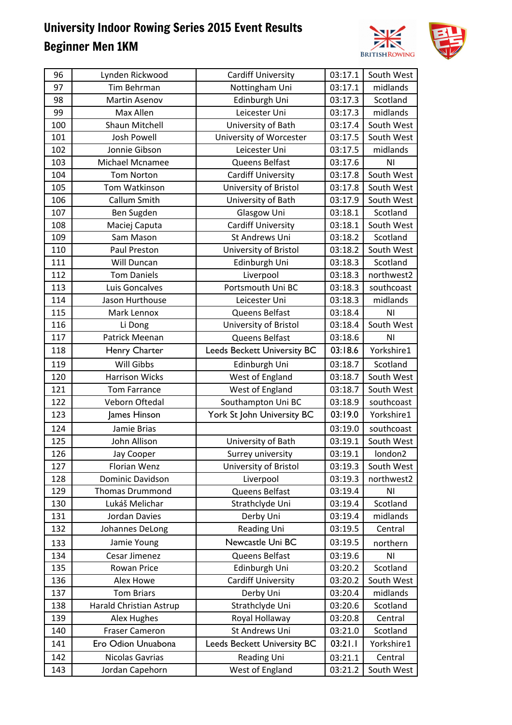

| 96  | Lynden Rickwood         | <b>Cardiff University</b>          | 03:17.1 | South West     |
|-----|-------------------------|------------------------------------|---------|----------------|
| 97  | Tim Behrman             | Nottingham Uni                     | 03:17.1 | midlands       |
| 98  | <b>Martin Asenov</b>    | Edinburgh Uni                      | 03:17.3 | Scotland       |
| 99  | Max Allen               | Leicester Uni                      | 03:17.3 | midlands       |
| 100 | Shaun Mitchell          | University of Bath                 | 03:17.4 | South West     |
| 101 | <b>Josh Powell</b>      | University of Worcester            | 03:17.5 | South West     |
| 102 | Jonnie Gibson           | Leicester Uni                      | 03:17.5 | midlands       |
| 103 | <b>Michael Mcnamee</b>  | Queens Belfast                     | 03:17.6 | ΝI             |
| 104 | <b>Tom Norton</b>       | <b>Cardiff University</b>          | 03:17.8 | South West     |
| 105 | Tom Watkinson           | University of Bristol              | 03:17.8 | South West     |
| 106 | Callum Smith            | University of Bath                 | 03:17.9 | South West     |
| 107 | Ben Sugden              | Glasgow Uni                        | 03:18.1 | Scotland       |
| 108 | Maciej Caputa           | <b>Cardiff University</b>          | 03:18.1 | South West     |
| 109 | Sam Mason               | St Andrews Uni                     | 03:18.2 | Scotland       |
| 110 | Paul Preston            | University of Bristol              | 03:18.2 | South West     |
| 111 | Will Duncan             | Edinburgh Uni                      | 03:18.3 | Scotland       |
| 112 | <b>Tom Daniels</b>      | Liverpool                          | 03:18.3 | northwest2     |
| 113 | Luis Goncalves          | Portsmouth Uni BC                  | 03:18.3 | southcoast     |
| 114 | Jason Hurthouse         | Leicester Uni                      | 03:18.3 | midlands       |
| 115 | Mark Lennox             | Queens Belfast                     | 03:18.4 | ΝI             |
| 116 | Li Dong                 | University of Bristol              | 03:18.4 | South West     |
| 117 | Patrick Meenan          | Queens Belfast                     | 03:18.6 | N <sub>1</sub> |
| 118 | Henry Charter           | <b>Leeds Beckett University BC</b> | 03:18.6 | Yorkshire1     |
| 119 | Will Gibbs              | Edinburgh Uni                      | 03:18.7 | Scotland       |
| 120 | <b>Harrison Wicks</b>   | West of England                    | 03:18.7 | South West     |
| 121 | <b>Tom Farrance</b>     | West of England                    | 03:18.7 | South West     |
| 122 | Veborn Oftedal          | Southampton Uni BC                 | 03:18.9 | southcoast     |
| 123 | James Hinson            | York St John University BC         | 03:19.0 | Yorkshire1     |
| 124 | Jamie Brias             |                                    | 03:19.0 | southcoast     |
| 125 | John Allison            | University of Bath                 | 03:19.1 | South West     |
| 126 | Jay Cooper              | Surrey university                  | 03:19.1 | london2        |
| 127 | Florian Wenz            | University of Bristol              | 03:19.3 | South West     |
| 128 | Dominic Davidson        | Liverpool                          | 03:19.3 | northwest2     |
| 129 | <b>Thomas Drummond</b>  | Queens Belfast                     | 03:19.4 | N <sub>1</sub> |
| 130 | Lukáš Melichar          | Strathclyde Uni                    | 03:19.4 | Scotland       |
| 131 | Jordan Davies           | Derby Uni                          | 03:19.4 | midlands       |
| 132 | Johannes DeLong         | <b>Reading Uni</b>                 | 03:19.5 | Central        |
| 133 | Jamie Young             | Newcastle Uni BC                   | 03:19.5 | northern       |
| 134 | Cesar Jimenez           | Queens Belfast                     | 03:19.6 | ΝI             |
| 135 | Rowan Price             | Edinburgh Uni                      | 03:20.2 | Scotland       |
| 136 | Alex Howe               | <b>Cardiff University</b>          | 03:20.2 | South West     |
| 137 | <b>Tom Briars</b>       | Derby Uni                          | 03:20.4 | midlands       |
| 138 | Harald Christian Astrup | Strathclyde Uni                    | 03:20.6 | Scotland       |
| 139 | <b>Alex Hughes</b>      | Royal Hollaway                     | 03:20.8 | Central        |
| 140 | <b>Fraser Cameron</b>   | St Andrews Uni                     | 03:21.0 | Scotland       |
| 141 | Ero Odion Unuabona      | <b>Leeds Beckett University BC</b> | 03:21.1 | Yorkshire1     |
| 142 | Nicolas Gavrias         | <b>Reading Uni</b>                 | 03:21.1 | Central        |
| 143 | Jordan Capehorn         | West of England                    | 03:21.2 | South West     |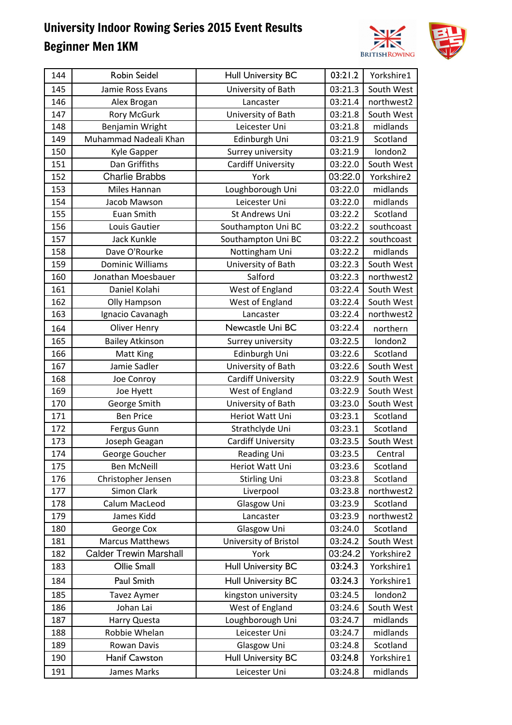

| 03:21.3<br>145<br>Jamie Ross Evans<br>University of Bath<br>South West<br>03:21.4<br>northwest2<br>146<br>Alex Brogan<br>Lancaster<br>03:21.8<br>147<br><b>Rory McGurk</b><br>University of Bath<br>South West<br>148<br>Benjamin Wright<br>Leicester Uni<br>03:21.8<br>midlands<br>Muhammad Nadeali Khan<br>03:21.9<br>149<br>Edinburgh Uni<br>Scotland<br>150<br>Surrey university<br>03:21.9<br>london2<br>Kyle Gapper<br>151<br>Dan Griffiths<br><b>Cardiff University</b><br>03:22.0<br>South West<br>152<br><b>Charlie Brabbs</b><br>03:22.0<br>York<br>Yorkshire2<br>Loughborough Uni<br>153<br>Miles Hannan<br>03:22.0<br>midlands<br>154<br>03:22.0<br>Leicester Uni<br>midlands<br>Jacob Mawson<br>155<br>Euan Smith<br>St Andrews Uni<br>03:22.2<br>Scotland<br>156<br>03:22.2<br>southcoast<br>Louis Gautier<br>Southampton Uni BC<br>157<br>Jack Kunkle<br>Southampton Uni BC<br>03:22.2<br>southcoast<br>Dave O'Rourke<br>03:22.2<br>midlands<br>158<br>Nottingham Uni<br><b>Dominic Williams</b><br>University of Bath<br>159<br>03:22.3<br>South West<br>Salford<br>03:22.3<br>160<br>Jonathan Moesbauer<br>northwest2<br>03:22.4<br>161<br>West of England<br>South West<br>Daniel Kolahi<br>162<br>West of England<br>03:22.4<br>South West<br>Olly Hampson<br>163<br>03:22.4<br>northwest2<br>Ignacio Cavanagh<br>Lancaster<br>Newcastle Uni BC<br>03:22.4<br>Oliver Henry<br>164<br>northern<br>03:22.5<br>london2<br>165<br><b>Bailey Atkinson</b><br>Surrey university<br>166<br>Edinburgh Uni<br>03:22.6<br>Scotland<br>Matt King<br>167<br>Jamie Sadler<br>03:22.6<br>University of Bath<br>South West<br>168<br><b>Cardiff University</b><br>03:22.9<br>South West<br>Joe Conroy<br>West of England<br>03:22.9<br>169<br>South West<br>Joe Hyett<br>University of Bath<br>170<br>George Smith<br>03:23.0<br>South West<br>171<br><b>Ben Price</b><br>Heriot Watt Uni<br>03:23.1<br>Scotland<br>172<br>03:23.1<br>Scotland<br>Fergus Gunn<br>Strathclyde Uni<br><b>Cardiff University</b><br>03:23.5<br>South West<br>173<br>Joseph Geagan<br>174<br>03:23.5<br>George Goucher<br>Reading Uni<br>Central<br><b>Ben McNeill</b><br>Heriot Watt Uni<br>03:23.6<br>Scotland<br>175<br>Scotland<br>Christopher Jensen<br>03:23.8<br>176<br><b>Stirling Uni</b><br>northwest2<br>177<br>Simon Clark<br>Liverpool<br>03:23.8<br>Calum MacLeod<br>Glasgow Uni<br>Scotland<br>178<br>03:23.9<br>179<br>James Kidd<br>03:23.9<br>northwest2<br>Lancaster<br>Glasgow Uni<br>George Cox<br>03:24.0<br>Scotland<br>180<br>181<br><b>Marcus Matthews</b><br>University of Bristol<br>03:24.2<br>South West<br><b>Calder Trewin Marshall</b><br>03:24.2<br>182<br>York<br>Yorkshire2<br>Ollie Small<br><b>Hull University BC</b><br>03:24.3<br>Yorkshire1<br>183<br>Paul Smith<br>03:24.3<br><b>Hull University BC</b><br>Yorkshire1<br>184<br>kingston university<br>03:24.5<br>london2<br>185<br><b>Tavez Aymer</b><br>Johan Lai<br>West of England<br>South West<br>186<br>03:24.6<br>midlands<br>187<br>Harry Questa<br>Loughborough Uni<br>03:24.7<br>midlands<br>Leicester Uni<br>188<br>Robbie Whelan<br>03:24.7<br>Scotland<br>189<br>Rowan Davis<br>Glasgow Uni<br>03:24.8<br><b>Hull University BC</b><br><b>Hanif Cawston</b><br>03:24.8<br>Yorkshire1<br>190 | 144 | Robin Seidel | <b>Hull University BC</b> | 03:21.2 | Yorkshire1 |
|------------------------------------------------------------------------------------------------------------------------------------------------------------------------------------------------------------------------------------------------------------------------------------------------------------------------------------------------------------------------------------------------------------------------------------------------------------------------------------------------------------------------------------------------------------------------------------------------------------------------------------------------------------------------------------------------------------------------------------------------------------------------------------------------------------------------------------------------------------------------------------------------------------------------------------------------------------------------------------------------------------------------------------------------------------------------------------------------------------------------------------------------------------------------------------------------------------------------------------------------------------------------------------------------------------------------------------------------------------------------------------------------------------------------------------------------------------------------------------------------------------------------------------------------------------------------------------------------------------------------------------------------------------------------------------------------------------------------------------------------------------------------------------------------------------------------------------------------------------------------------------------------------------------------------------------------------------------------------------------------------------------------------------------------------------------------------------------------------------------------------------------------------------------------------------------------------------------------------------------------------------------------------------------------------------------------------------------------------------------------------------------------------------------------------------------------------------------------------------------------------------------------------------------------------------------------------------------------------------------------------------------------------------------------------------------------------------------------------------------------------------------------------------------------------------------------------------------------------------------------------------------------------------------------------------------------------------------------------------------------------------------------------------------------------------------------------------------------------------------------------------------------------------------------------------------------------------------------------------------------------------------------------------|-----|--------------|---------------------------|---------|------------|
|                                                                                                                                                                                                                                                                                                                                                                                                                                                                                                                                                                                                                                                                                                                                                                                                                                                                                                                                                                                                                                                                                                                                                                                                                                                                                                                                                                                                                                                                                                                                                                                                                                                                                                                                                                                                                                                                                                                                                                                                                                                                                                                                                                                                                                                                                                                                                                                                                                                                                                                                                                                                                                                                                                                                                                                                                                                                                                                                                                                                                                                                                                                                                                                                                                                                                    |     |              |                           |         |            |
|                                                                                                                                                                                                                                                                                                                                                                                                                                                                                                                                                                                                                                                                                                                                                                                                                                                                                                                                                                                                                                                                                                                                                                                                                                                                                                                                                                                                                                                                                                                                                                                                                                                                                                                                                                                                                                                                                                                                                                                                                                                                                                                                                                                                                                                                                                                                                                                                                                                                                                                                                                                                                                                                                                                                                                                                                                                                                                                                                                                                                                                                                                                                                                                                                                                                                    |     |              |                           |         |            |
|                                                                                                                                                                                                                                                                                                                                                                                                                                                                                                                                                                                                                                                                                                                                                                                                                                                                                                                                                                                                                                                                                                                                                                                                                                                                                                                                                                                                                                                                                                                                                                                                                                                                                                                                                                                                                                                                                                                                                                                                                                                                                                                                                                                                                                                                                                                                                                                                                                                                                                                                                                                                                                                                                                                                                                                                                                                                                                                                                                                                                                                                                                                                                                                                                                                                                    |     |              |                           |         |            |
|                                                                                                                                                                                                                                                                                                                                                                                                                                                                                                                                                                                                                                                                                                                                                                                                                                                                                                                                                                                                                                                                                                                                                                                                                                                                                                                                                                                                                                                                                                                                                                                                                                                                                                                                                                                                                                                                                                                                                                                                                                                                                                                                                                                                                                                                                                                                                                                                                                                                                                                                                                                                                                                                                                                                                                                                                                                                                                                                                                                                                                                                                                                                                                                                                                                                                    |     |              |                           |         |            |
|                                                                                                                                                                                                                                                                                                                                                                                                                                                                                                                                                                                                                                                                                                                                                                                                                                                                                                                                                                                                                                                                                                                                                                                                                                                                                                                                                                                                                                                                                                                                                                                                                                                                                                                                                                                                                                                                                                                                                                                                                                                                                                                                                                                                                                                                                                                                                                                                                                                                                                                                                                                                                                                                                                                                                                                                                                                                                                                                                                                                                                                                                                                                                                                                                                                                                    |     |              |                           |         |            |
|                                                                                                                                                                                                                                                                                                                                                                                                                                                                                                                                                                                                                                                                                                                                                                                                                                                                                                                                                                                                                                                                                                                                                                                                                                                                                                                                                                                                                                                                                                                                                                                                                                                                                                                                                                                                                                                                                                                                                                                                                                                                                                                                                                                                                                                                                                                                                                                                                                                                                                                                                                                                                                                                                                                                                                                                                                                                                                                                                                                                                                                                                                                                                                                                                                                                                    |     |              |                           |         |            |
|                                                                                                                                                                                                                                                                                                                                                                                                                                                                                                                                                                                                                                                                                                                                                                                                                                                                                                                                                                                                                                                                                                                                                                                                                                                                                                                                                                                                                                                                                                                                                                                                                                                                                                                                                                                                                                                                                                                                                                                                                                                                                                                                                                                                                                                                                                                                                                                                                                                                                                                                                                                                                                                                                                                                                                                                                                                                                                                                                                                                                                                                                                                                                                                                                                                                                    |     |              |                           |         |            |
|                                                                                                                                                                                                                                                                                                                                                                                                                                                                                                                                                                                                                                                                                                                                                                                                                                                                                                                                                                                                                                                                                                                                                                                                                                                                                                                                                                                                                                                                                                                                                                                                                                                                                                                                                                                                                                                                                                                                                                                                                                                                                                                                                                                                                                                                                                                                                                                                                                                                                                                                                                                                                                                                                                                                                                                                                                                                                                                                                                                                                                                                                                                                                                                                                                                                                    |     |              |                           |         |            |
|                                                                                                                                                                                                                                                                                                                                                                                                                                                                                                                                                                                                                                                                                                                                                                                                                                                                                                                                                                                                                                                                                                                                                                                                                                                                                                                                                                                                                                                                                                                                                                                                                                                                                                                                                                                                                                                                                                                                                                                                                                                                                                                                                                                                                                                                                                                                                                                                                                                                                                                                                                                                                                                                                                                                                                                                                                                                                                                                                                                                                                                                                                                                                                                                                                                                                    |     |              |                           |         |            |
|                                                                                                                                                                                                                                                                                                                                                                                                                                                                                                                                                                                                                                                                                                                                                                                                                                                                                                                                                                                                                                                                                                                                                                                                                                                                                                                                                                                                                                                                                                                                                                                                                                                                                                                                                                                                                                                                                                                                                                                                                                                                                                                                                                                                                                                                                                                                                                                                                                                                                                                                                                                                                                                                                                                                                                                                                                                                                                                                                                                                                                                                                                                                                                                                                                                                                    |     |              |                           |         |            |
|                                                                                                                                                                                                                                                                                                                                                                                                                                                                                                                                                                                                                                                                                                                                                                                                                                                                                                                                                                                                                                                                                                                                                                                                                                                                                                                                                                                                                                                                                                                                                                                                                                                                                                                                                                                                                                                                                                                                                                                                                                                                                                                                                                                                                                                                                                                                                                                                                                                                                                                                                                                                                                                                                                                                                                                                                                                                                                                                                                                                                                                                                                                                                                                                                                                                                    |     |              |                           |         |            |
|                                                                                                                                                                                                                                                                                                                                                                                                                                                                                                                                                                                                                                                                                                                                                                                                                                                                                                                                                                                                                                                                                                                                                                                                                                                                                                                                                                                                                                                                                                                                                                                                                                                                                                                                                                                                                                                                                                                                                                                                                                                                                                                                                                                                                                                                                                                                                                                                                                                                                                                                                                                                                                                                                                                                                                                                                                                                                                                                                                                                                                                                                                                                                                                                                                                                                    |     |              |                           |         |            |
|                                                                                                                                                                                                                                                                                                                                                                                                                                                                                                                                                                                                                                                                                                                                                                                                                                                                                                                                                                                                                                                                                                                                                                                                                                                                                                                                                                                                                                                                                                                                                                                                                                                                                                                                                                                                                                                                                                                                                                                                                                                                                                                                                                                                                                                                                                                                                                                                                                                                                                                                                                                                                                                                                                                                                                                                                                                                                                                                                                                                                                                                                                                                                                                                                                                                                    |     |              |                           |         |            |
|                                                                                                                                                                                                                                                                                                                                                                                                                                                                                                                                                                                                                                                                                                                                                                                                                                                                                                                                                                                                                                                                                                                                                                                                                                                                                                                                                                                                                                                                                                                                                                                                                                                                                                                                                                                                                                                                                                                                                                                                                                                                                                                                                                                                                                                                                                                                                                                                                                                                                                                                                                                                                                                                                                                                                                                                                                                                                                                                                                                                                                                                                                                                                                                                                                                                                    |     |              |                           |         |            |
|                                                                                                                                                                                                                                                                                                                                                                                                                                                                                                                                                                                                                                                                                                                                                                                                                                                                                                                                                                                                                                                                                                                                                                                                                                                                                                                                                                                                                                                                                                                                                                                                                                                                                                                                                                                                                                                                                                                                                                                                                                                                                                                                                                                                                                                                                                                                                                                                                                                                                                                                                                                                                                                                                                                                                                                                                                                                                                                                                                                                                                                                                                                                                                                                                                                                                    |     |              |                           |         |            |
|                                                                                                                                                                                                                                                                                                                                                                                                                                                                                                                                                                                                                                                                                                                                                                                                                                                                                                                                                                                                                                                                                                                                                                                                                                                                                                                                                                                                                                                                                                                                                                                                                                                                                                                                                                                                                                                                                                                                                                                                                                                                                                                                                                                                                                                                                                                                                                                                                                                                                                                                                                                                                                                                                                                                                                                                                                                                                                                                                                                                                                                                                                                                                                                                                                                                                    |     |              |                           |         |            |
|                                                                                                                                                                                                                                                                                                                                                                                                                                                                                                                                                                                                                                                                                                                                                                                                                                                                                                                                                                                                                                                                                                                                                                                                                                                                                                                                                                                                                                                                                                                                                                                                                                                                                                                                                                                                                                                                                                                                                                                                                                                                                                                                                                                                                                                                                                                                                                                                                                                                                                                                                                                                                                                                                                                                                                                                                                                                                                                                                                                                                                                                                                                                                                                                                                                                                    |     |              |                           |         |            |
|                                                                                                                                                                                                                                                                                                                                                                                                                                                                                                                                                                                                                                                                                                                                                                                                                                                                                                                                                                                                                                                                                                                                                                                                                                                                                                                                                                                                                                                                                                                                                                                                                                                                                                                                                                                                                                                                                                                                                                                                                                                                                                                                                                                                                                                                                                                                                                                                                                                                                                                                                                                                                                                                                                                                                                                                                                                                                                                                                                                                                                                                                                                                                                                                                                                                                    |     |              |                           |         |            |
|                                                                                                                                                                                                                                                                                                                                                                                                                                                                                                                                                                                                                                                                                                                                                                                                                                                                                                                                                                                                                                                                                                                                                                                                                                                                                                                                                                                                                                                                                                                                                                                                                                                                                                                                                                                                                                                                                                                                                                                                                                                                                                                                                                                                                                                                                                                                                                                                                                                                                                                                                                                                                                                                                                                                                                                                                                                                                                                                                                                                                                                                                                                                                                                                                                                                                    |     |              |                           |         |            |
|                                                                                                                                                                                                                                                                                                                                                                                                                                                                                                                                                                                                                                                                                                                                                                                                                                                                                                                                                                                                                                                                                                                                                                                                                                                                                                                                                                                                                                                                                                                                                                                                                                                                                                                                                                                                                                                                                                                                                                                                                                                                                                                                                                                                                                                                                                                                                                                                                                                                                                                                                                                                                                                                                                                                                                                                                                                                                                                                                                                                                                                                                                                                                                                                                                                                                    |     |              |                           |         |            |
|                                                                                                                                                                                                                                                                                                                                                                                                                                                                                                                                                                                                                                                                                                                                                                                                                                                                                                                                                                                                                                                                                                                                                                                                                                                                                                                                                                                                                                                                                                                                                                                                                                                                                                                                                                                                                                                                                                                                                                                                                                                                                                                                                                                                                                                                                                                                                                                                                                                                                                                                                                                                                                                                                                                                                                                                                                                                                                                                                                                                                                                                                                                                                                                                                                                                                    |     |              |                           |         |            |
|                                                                                                                                                                                                                                                                                                                                                                                                                                                                                                                                                                                                                                                                                                                                                                                                                                                                                                                                                                                                                                                                                                                                                                                                                                                                                                                                                                                                                                                                                                                                                                                                                                                                                                                                                                                                                                                                                                                                                                                                                                                                                                                                                                                                                                                                                                                                                                                                                                                                                                                                                                                                                                                                                                                                                                                                                                                                                                                                                                                                                                                                                                                                                                                                                                                                                    |     |              |                           |         |            |
|                                                                                                                                                                                                                                                                                                                                                                                                                                                                                                                                                                                                                                                                                                                                                                                                                                                                                                                                                                                                                                                                                                                                                                                                                                                                                                                                                                                                                                                                                                                                                                                                                                                                                                                                                                                                                                                                                                                                                                                                                                                                                                                                                                                                                                                                                                                                                                                                                                                                                                                                                                                                                                                                                                                                                                                                                                                                                                                                                                                                                                                                                                                                                                                                                                                                                    |     |              |                           |         |            |
|                                                                                                                                                                                                                                                                                                                                                                                                                                                                                                                                                                                                                                                                                                                                                                                                                                                                                                                                                                                                                                                                                                                                                                                                                                                                                                                                                                                                                                                                                                                                                                                                                                                                                                                                                                                                                                                                                                                                                                                                                                                                                                                                                                                                                                                                                                                                                                                                                                                                                                                                                                                                                                                                                                                                                                                                                                                                                                                                                                                                                                                                                                                                                                                                                                                                                    |     |              |                           |         |            |
|                                                                                                                                                                                                                                                                                                                                                                                                                                                                                                                                                                                                                                                                                                                                                                                                                                                                                                                                                                                                                                                                                                                                                                                                                                                                                                                                                                                                                                                                                                                                                                                                                                                                                                                                                                                                                                                                                                                                                                                                                                                                                                                                                                                                                                                                                                                                                                                                                                                                                                                                                                                                                                                                                                                                                                                                                                                                                                                                                                                                                                                                                                                                                                                                                                                                                    |     |              |                           |         |            |
|                                                                                                                                                                                                                                                                                                                                                                                                                                                                                                                                                                                                                                                                                                                                                                                                                                                                                                                                                                                                                                                                                                                                                                                                                                                                                                                                                                                                                                                                                                                                                                                                                                                                                                                                                                                                                                                                                                                                                                                                                                                                                                                                                                                                                                                                                                                                                                                                                                                                                                                                                                                                                                                                                                                                                                                                                                                                                                                                                                                                                                                                                                                                                                                                                                                                                    |     |              |                           |         |            |
|                                                                                                                                                                                                                                                                                                                                                                                                                                                                                                                                                                                                                                                                                                                                                                                                                                                                                                                                                                                                                                                                                                                                                                                                                                                                                                                                                                                                                                                                                                                                                                                                                                                                                                                                                                                                                                                                                                                                                                                                                                                                                                                                                                                                                                                                                                                                                                                                                                                                                                                                                                                                                                                                                                                                                                                                                                                                                                                                                                                                                                                                                                                                                                                                                                                                                    |     |              |                           |         |            |
|                                                                                                                                                                                                                                                                                                                                                                                                                                                                                                                                                                                                                                                                                                                                                                                                                                                                                                                                                                                                                                                                                                                                                                                                                                                                                                                                                                                                                                                                                                                                                                                                                                                                                                                                                                                                                                                                                                                                                                                                                                                                                                                                                                                                                                                                                                                                                                                                                                                                                                                                                                                                                                                                                                                                                                                                                                                                                                                                                                                                                                                                                                                                                                                                                                                                                    |     |              |                           |         |            |
|                                                                                                                                                                                                                                                                                                                                                                                                                                                                                                                                                                                                                                                                                                                                                                                                                                                                                                                                                                                                                                                                                                                                                                                                                                                                                                                                                                                                                                                                                                                                                                                                                                                                                                                                                                                                                                                                                                                                                                                                                                                                                                                                                                                                                                                                                                                                                                                                                                                                                                                                                                                                                                                                                                                                                                                                                                                                                                                                                                                                                                                                                                                                                                                                                                                                                    |     |              |                           |         |            |
|                                                                                                                                                                                                                                                                                                                                                                                                                                                                                                                                                                                                                                                                                                                                                                                                                                                                                                                                                                                                                                                                                                                                                                                                                                                                                                                                                                                                                                                                                                                                                                                                                                                                                                                                                                                                                                                                                                                                                                                                                                                                                                                                                                                                                                                                                                                                                                                                                                                                                                                                                                                                                                                                                                                                                                                                                                                                                                                                                                                                                                                                                                                                                                                                                                                                                    |     |              |                           |         |            |
|                                                                                                                                                                                                                                                                                                                                                                                                                                                                                                                                                                                                                                                                                                                                                                                                                                                                                                                                                                                                                                                                                                                                                                                                                                                                                                                                                                                                                                                                                                                                                                                                                                                                                                                                                                                                                                                                                                                                                                                                                                                                                                                                                                                                                                                                                                                                                                                                                                                                                                                                                                                                                                                                                                                                                                                                                                                                                                                                                                                                                                                                                                                                                                                                                                                                                    |     |              |                           |         |            |
|                                                                                                                                                                                                                                                                                                                                                                                                                                                                                                                                                                                                                                                                                                                                                                                                                                                                                                                                                                                                                                                                                                                                                                                                                                                                                                                                                                                                                                                                                                                                                                                                                                                                                                                                                                                                                                                                                                                                                                                                                                                                                                                                                                                                                                                                                                                                                                                                                                                                                                                                                                                                                                                                                                                                                                                                                                                                                                                                                                                                                                                                                                                                                                                                                                                                                    |     |              |                           |         |            |
|                                                                                                                                                                                                                                                                                                                                                                                                                                                                                                                                                                                                                                                                                                                                                                                                                                                                                                                                                                                                                                                                                                                                                                                                                                                                                                                                                                                                                                                                                                                                                                                                                                                                                                                                                                                                                                                                                                                                                                                                                                                                                                                                                                                                                                                                                                                                                                                                                                                                                                                                                                                                                                                                                                                                                                                                                                                                                                                                                                                                                                                                                                                                                                                                                                                                                    |     |              |                           |         |            |
|                                                                                                                                                                                                                                                                                                                                                                                                                                                                                                                                                                                                                                                                                                                                                                                                                                                                                                                                                                                                                                                                                                                                                                                                                                                                                                                                                                                                                                                                                                                                                                                                                                                                                                                                                                                                                                                                                                                                                                                                                                                                                                                                                                                                                                                                                                                                                                                                                                                                                                                                                                                                                                                                                                                                                                                                                                                                                                                                                                                                                                                                                                                                                                                                                                                                                    |     |              |                           |         |            |
|                                                                                                                                                                                                                                                                                                                                                                                                                                                                                                                                                                                                                                                                                                                                                                                                                                                                                                                                                                                                                                                                                                                                                                                                                                                                                                                                                                                                                                                                                                                                                                                                                                                                                                                                                                                                                                                                                                                                                                                                                                                                                                                                                                                                                                                                                                                                                                                                                                                                                                                                                                                                                                                                                                                                                                                                                                                                                                                                                                                                                                                                                                                                                                                                                                                                                    |     |              |                           |         |            |
|                                                                                                                                                                                                                                                                                                                                                                                                                                                                                                                                                                                                                                                                                                                                                                                                                                                                                                                                                                                                                                                                                                                                                                                                                                                                                                                                                                                                                                                                                                                                                                                                                                                                                                                                                                                                                                                                                                                                                                                                                                                                                                                                                                                                                                                                                                                                                                                                                                                                                                                                                                                                                                                                                                                                                                                                                                                                                                                                                                                                                                                                                                                                                                                                                                                                                    |     |              |                           |         |            |
|                                                                                                                                                                                                                                                                                                                                                                                                                                                                                                                                                                                                                                                                                                                                                                                                                                                                                                                                                                                                                                                                                                                                                                                                                                                                                                                                                                                                                                                                                                                                                                                                                                                                                                                                                                                                                                                                                                                                                                                                                                                                                                                                                                                                                                                                                                                                                                                                                                                                                                                                                                                                                                                                                                                                                                                                                                                                                                                                                                                                                                                                                                                                                                                                                                                                                    |     |              |                           |         |            |
|                                                                                                                                                                                                                                                                                                                                                                                                                                                                                                                                                                                                                                                                                                                                                                                                                                                                                                                                                                                                                                                                                                                                                                                                                                                                                                                                                                                                                                                                                                                                                                                                                                                                                                                                                                                                                                                                                                                                                                                                                                                                                                                                                                                                                                                                                                                                                                                                                                                                                                                                                                                                                                                                                                                                                                                                                                                                                                                                                                                                                                                                                                                                                                                                                                                                                    |     |              |                           |         |            |
|                                                                                                                                                                                                                                                                                                                                                                                                                                                                                                                                                                                                                                                                                                                                                                                                                                                                                                                                                                                                                                                                                                                                                                                                                                                                                                                                                                                                                                                                                                                                                                                                                                                                                                                                                                                                                                                                                                                                                                                                                                                                                                                                                                                                                                                                                                                                                                                                                                                                                                                                                                                                                                                                                                                                                                                                                                                                                                                                                                                                                                                                                                                                                                                                                                                                                    |     |              |                           |         |            |
|                                                                                                                                                                                                                                                                                                                                                                                                                                                                                                                                                                                                                                                                                                                                                                                                                                                                                                                                                                                                                                                                                                                                                                                                                                                                                                                                                                                                                                                                                                                                                                                                                                                                                                                                                                                                                                                                                                                                                                                                                                                                                                                                                                                                                                                                                                                                                                                                                                                                                                                                                                                                                                                                                                                                                                                                                                                                                                                                                                                                                                                                                                                                                                                                                                                                                    |     |              |                           |         |            |
|                                                                                                                                                                                                                                                                                                                                                                                                                                                                                                                                                                                                                                                                                                                                                                                                                                                                                                                                                                                                                                                                                                                                                                                                                                                                                                                                                                                                                                                                                                                                                                                                                                                                                                                                                                                                                                                                                                                                                                                                                                                                                                                                                                                                                                                                                                                                                                                                                                                                                                                                                                                                                                                                                                                                                                                                                                                                                                                                                                                                                                                                                                                                                                                                                                                                                    |     |              |                           |         |            |
|                                                                                                                                                                                                                                                                                                                                                                                                                                                                                                                                                                                                                                                                                                                                                                                                                                                                                                                                                                                                                                                                                                                                                                                                                                                                                                                                                                                                                                                                                                                                                                                                                                                                                                                                                                                                                                                                                                                                                                                                                                                                                                                                                                                                                                                                                                                                                                                                                                                                                                                                                                                                                                                                                                                                                                                                                                                                                                                                                                                                                                                                                                                                                                                                                                                                                    |     |              |                           |         |            |
|                                                                                                                                                                                                                                                                                                                                                                                                                                                                                                                                                                                                                                                                                                                                                                                                                                                                                                                                                                                                                                                                                                                                                                                                                                                                                                                                                                                                                                                                                                                                                                                                                                                                                                                                                                                                                                                                                                                                                                                                                                                                                                                                                                                                                                                                                                                                                                                                                                                                                                                                                                                                                                                                                                                                                                                                                                                                                                                                                                                                                                                                                                                                                                                                                                                                                    |     |              |                           |         |            |
|                                                                                                                                                                                                                                                                                                                                                                                                                                                                                                                                                                                                                                                                                                                                                                                                                                                                                                                                                                                                                                                                                                                                                                                                                                                                                                                                                                                                                                                                                                                                                                                                                                                                                                                                                                                                                                                                                                                                                                                                                                                                                                                                                                                                                                                                                                                                                                                                                                                                                                                                                                                                                                                                                                                                                                                                                                                                                                                                                                                                                                                                                                                                                                                                                                                                                    |     |              |                           |         |            |
|                                                                                                                                                                                                                                                                                                                                                                                                                                                                                                                                                                                                                                                                                                                                                                                                                                                                                                                                                                                                                                                                                                                                                                                                                                                                                                                                                                                                                                                                                                                                                                                                                                                                                                                                                                                                                                                                                                                                                                                                                                                                                                                                                                                                                                                                                                                                                                                                                                                                                                                                                                                                                                                                                                                                                                                                                                                                                                                                                                                                                                                                                                                                                                                                                                                                                    |     |              |                           |         |            |
|                                                                                                                                                                                                                                                                                                                                                                                                                                                                                                                                                                                                                                                                                                                                                                                                                                                                                                                                                                                                                                                                                                                                                                                                                                                                                                                                                                                                                                                                                                                                                                                                                                                                                                                                                                                                                                                                                                                                                                                                                                                                                                                                                                                                                                                                                                                                                                                                                                                                                                                                                                                                                                                                                                                                                                                                                                                                                                                                                                                                                                                                                                                                                                                                                                                                                    |     |              |                           |         |            |
|                                                                                                                                                                                                                                                                                                                                                                                                                                                                                                                                                                                                                                                                                                                                                                                                                                                                                                                                                                                                                                                                                                                                                                                                                                                                                                                                                                                                                                                                                                                                                                                                                                                                                                                                                                                                                                                                                                                                                                                                                                                                                                                                                                                                                                                                                                                                                                                                                                                                                                                                                                                                                                                                                                                                                                                                                                                                                                                                                                                                                                                                                                                                                                                                                                                                                    | 191 | James Marks  | Leicester Uni             | 03:24.8 | midlands   |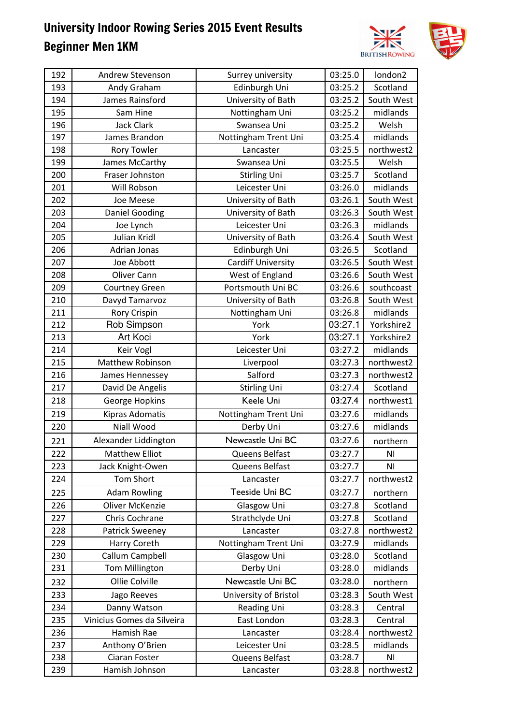

| 192 | Andrew Stevenson           | Surrey university         | 03:25.0 | london2    |
|-----|----------------------------|---------------------------|---------|------------|
| 193 | Andy Graham                | Edinburgh Uni             | 03:25.2 | Scotland   |
| 194 | James Rainsford            | University of Bath        | 03:25.2 | South West |
| 195 | Sam Hine                   | Nottingham Uni            | 03:25.2 | midlands   |
| 196 | <b>Jack Clark</b>          | Swansea Uni               | 03:25.2 | Welsh      |
| 197 | James Brandon              | Nottingham Trent Uni      | 03:25.4 | midlands   |
| 198 | <b>Rory Towler</b>         | Lancaster                 | 03:25.5 | northwest2 |
| 199 | James McCarthy             | Swansea Uni               | 03:25.5 | Welsh      |
| 200 | Fraser Johnston            | <b>Stirling Uni</b>       | 03:25.7 | Scotland   |
| 201 | Will Robson                | Leicester Uni             | 03:26.0 | midlands   |
| 202 | Joe Meese                  | University of Bath        | 03:26.1 | South West |
| 203 | <b>Daniel Gooding</b>      | University of Bath        | 03:26.3 | South West |
| 204 | Joe Lynch                  | Leicester Uni             | 03:26.3 | midlands   |
| 205 | Julian Kridl               | University of Bath        | 03:26.4 | South West |
| 206 | Adrian Jonas               | Edinburgh Uni             | 03:26.5 | Scotland   |
| 207 | Joe Abbott                 | <b>Cardiff University</b> | 03:26.5 | South West |
| 208 | Oliver Cann                | West of England           | 03:26.6 | South West |
| 209 | <b>Courtney Green</b>      | Portsmouth Uni BC         | 03:26.6 | southcoast |
| 210 | Davyd Tamarvoz             | University of Bath        | 03:26.8 | South West |
| 211 | Rory Crispin               | Nottingham Uni            | 03:26.8 | midlands   |
| 212 | Rob Simpson                | York                      | 03:27.1 | Yorkshire2 |
| 213 | Art Koci                   | York                      | 03:27.1 | Yorkshire2 |
| 214 | Keir Vogl                  | Leicester Uni             | 03:27.2 | midlands   |
| 215 | Matthew Robinson           | Liverpool                 | 03:27.3 | northwest2 |
| 216 | James Hennessey            | Salford                   | 03:27.3 | northwest2 |
| 217 | David De Angelis           | <b>Stirling Uni</b>       | 03:27.4 | Scotland   |
| 218 | George Hopkins             | Keele Uni                 | 03:27.4 | northwest1 |
| 219 | Kipras Adomatis            | Nottingham Trent Uni      | 03:27.6 | midlands   |
| 220 | Niall Wood                 | Derby Uni                 | 03:27.6 | midlands   |
| 221 | Alexander Liddington       | Newcastle Uni BC          | 03:27.6 | northern   |
| 222 | <b>Matthew Elliot</b>      | Queens Belfast            | 03:27.7 | ΝI         |
| 223 | Jack Knight-Owen           | Queens Belfast            | 03:27.7 | ΝI         |
| 224 | <b>Tom Short</b>           | Lancaster                 | 03:27.7 | northwest2 |
| 225 | <b>Adam Rowling</b>        | Teeside Uni BC            | 03:27.7 | northern   |
| 226 | <b>Oliver McKenzie</b>     | Glasgow Uni               | 03:27.8 | Scotland   |
| 227 | Chris Cochrane             | Strathclyde Uni           | 03:27.8 | Scotland   |
| 228 | <b>Patrick Sweeney</b>     | Lancaster                 | 03:27.8 | northwest2 |
| 229 | Harry Coreth               | Nottingham Trent Uni      | 03:27.9 | midlands   |
| 230 | Callum Campbell            | Glasgow Uni               | 03:28.0 | Scotland   |
| 231 | <b>Tom Millington</b>      | Derby Uni                 | 03:28.0 | midlands   |
| 232 | Ollie Colville             | Newcastle Uni BC          | 03:28.0 | northern   |
| 233 | Jago Reeves                | University of Bristol     | 03:28.3 | South West |
| 234 | Danny Watson               | <b>Reading Uni</b>        | 03:28.3 | Central    |
| 235 | Vinicius Gomes da Silveira | East London               | 03:28.3 | Central    |
| 236 | Hamish Rae                 | Lancaster                 | 03:28.4 | northwest2 |
| 237 | Anthony O'Brien            | Leicester Uni             | 03:28.5 | midlands   |
| 238 | Ciaran Foster              | Queens Belfast            | 03:28.7 | ΝI         |
| 239 | Hamish Johnson             | Lancaster                 | 03:28.8 | northwest2 |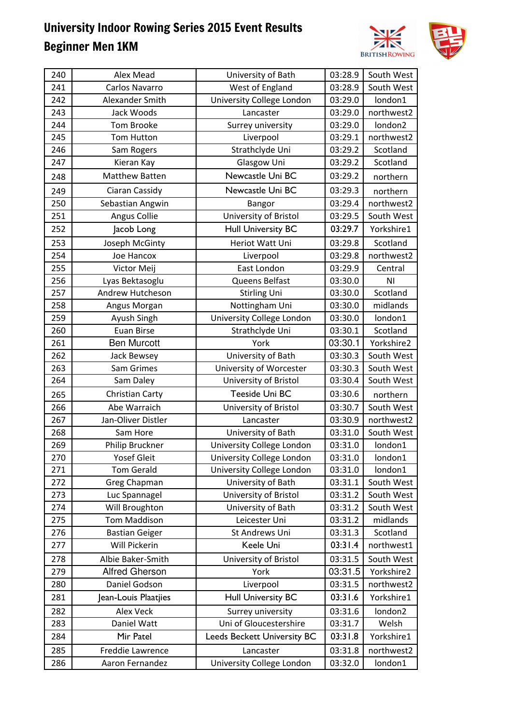

| 240 | Alex Mead             | University of Bath                 | 03:28.9 | South West |
|-----|-----------------------|------------------------------------|---------|------------|
| 241 | Carlos Navarro        | West of England                    | 03:28.9 | South West |
| 242 | Alexander Smith       | University College London          | 03:29.0 | london1    |
| 243 | Jack Woods            | Lancaster                          | 03:29.0 | northwest2 |
| 244 | Tom Brooke            | Surrey university                  | 03:29.0 | london2    |
| 245 | <b>Tom Hutton</b>     | Liverpool                          | 03:29.1 | northwest2 |
| 246 | Sam Rogers            | Strathclyde Uni                    | 03:29.2 | Scotland   |
| 247 | Kieran Kay            | Glasgow Uni                        | 03:29.2 | Scotland   |
| 248 | <b>Matthew Batten</b> | Newcastle Uni BC                   | 03:29.2 | northern   |
| 249 | Ciaran Cassidy        | Newcastle Uni BC                   | 03:29.3 | northern   |
| 250 | Sebastian Angwin      | Bangor                             | 03:29.4 | northwest2 |
| 251 | Angus Collie          | University of Bristol              | 03:29.5 | South West |
| 252 | Jacob Long            | <b>Hull University BC</b>          | 03:29.7 | Yorkshire1 |
| 253 | Joseph McGinty        | Heriot Watt Uni                    | 03:29.8 | Scotland   |
| 254 | Joe Hancox            | Liverpool                          | 03:29.8 | northwest2 |
| 255 | Victor Meij           | East London                        | 03:29.9 | Central    |
| 256 | Lyas Bektasoglu       | Queens Belfast                     | 03:30.0 | ΝI         |
| 257 | Andrew Hutcheson      | <b>Stirling Uni</b>                | 03:30.0 | Scotland   |
| 258 | Angus Morgan          | Nottingham Uni                     | 03:30.0 | midlands   |
| 259 | Ayush Singh           | University College London          | 03:30.0 | london1    |
| 260 | <b>Euan Birse</b>     | Strathclyde Uni                    | 03:30.1 | Scotland   |
| 261 | <b>Ben Murcott</b>    | York                               | 03:30.1 | Yorkshire2 |
| 262 | Jack Bewsey           | University of Bath                 | 03:30.3 | South West |
| 263 | Sam Grimes            | University of Worcester            | 03:30.3 | South West |
| 264 | Sam Daley             | University of Bristol              | 03:30.4 | South West |
| 265 | Christian Carty       | Teeside Uni BC                     | 03:30.6 | northern   |
| 266 | Abe Warraich          | University of Bristol              | 03:30.7 | South West |
| 267 | Jan-Oliver Distler    | Lancaster                          | 03:30.9 | northwest2 |
| 268 | Sam Hore              | University of Bath                 | 03:31.0 | South West |
| 269 | Philip Bruckner       | University College London          | 03:31.0 | london1    |
| 270 | <b>Yosef Gleit</b>    | University College London          | 03:31.0 | london1    |
| 271 | <b>Tom Gerald</b>     | University College London          | 03:31.0 | london1    |
| 272 | Greg Chapman          | University of Bath                 | 03:31.1 | South West |
| 273 | Luc Spannagel         | University of Bristol              | 03:31.2 | South West |
| 274 | Will Broughton        | University of Bath                 | 03:31.2 | South West |
| 275 | <b>Tom Maddison</b>   | Leicester Uni                      | 03:31.2 | midlands   |
| 276 | <b>Bastian Geiger</b> | St Andrews Uni                     | 03:31.3 | Scotland   |
| 277 | Will Pickerin         | Keele Uni                          | 03:31.4 | northwest1 |
| 278 | Albie Baker-Smith     | University of Bristol              | 03:31.5 | South West |
| 279 | <b>Alfred Gherson</b> | York                               | 03:31.5 | Yorkshire2 |
| 280 | Daniel Godson         | Liverpool                          | 03:31.5 | northwest2 |
| 281 | Jean-Louis Plaatjies  | <b>Hull University BC</b>          | 03:31.6 | Yorkshire1 |
| 282 | <b>Alex Veck</b>      | Surrey university                  | 03:31.6 | london2    |
| 283 | Daniel Watt           | Uni of Gloucestershire             | 03:31.7 | Welsh      |
| 284 | Mir Patel             | <b>Leeds Beckett University BC</b> | 03:31.8 | Yorkshire1 |
| 285 | Freddie Lawrence      | Lancaster                          | 03:31.8 | northwest2 |
| 286 | Aaron Fernandez       | University College London          | 03:32.0 | london1    |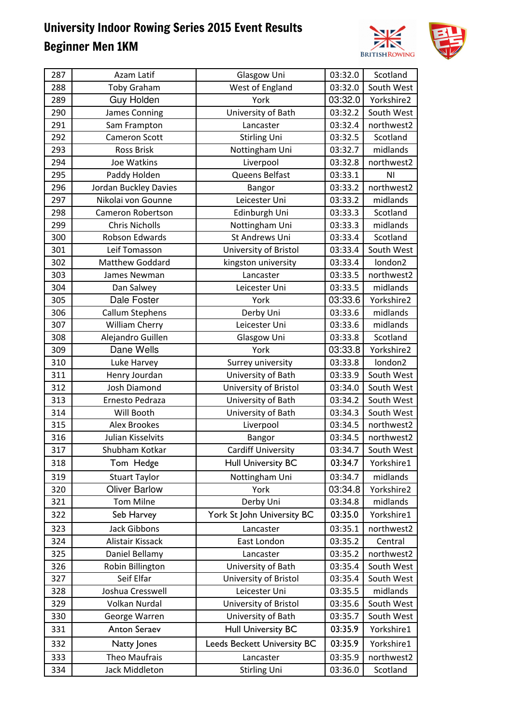

| 287 | Azam Latif            | Glasgow Uni                 | 03:32.0 | Scotland       |
|-----|-----------------------|-----------------------------|---------|----------------|
| 288 | <b>Toby Graham</b>    | West of England             | 03:32.0 | South West     |
| 289 | Guy Holden            | York                        | 03:32.0 | Yorkshire2     |
| 290 | James Conning         | University of Bath          | 03:32.2 | South West     |
| 291 | Sam Frampton          | Lancaster                   | 03:32.4 | northwest2     |
| 292 | <b>Cameron Scott</b>  | <b>Stirling Uni</b>         | 03:32.5 | Scotland       |
| 293 | Ross Brisk            | Nottingham Uni              | 03:32.7 | midlands       |
| 294 | Joe Watkins           | Liverpool                   | 03:32.8 | northwest2     |
| 295 | Paddy Holden          | Queens Belfast              | 03:33.1 | N <sub>1</sub> |
| 296 | Jordan Buckley Davies | Bangor                      | 03:33.2 | northwest2     |
| 297 | Nikolai von Gounne    | Leicester Uni               | 03:33.2 | midlands       |
| 298 | Cameron Robertson     | Edinburgh Uni               | 03:33.3 | Scotland       |
| 299 | <b>Chris Nicholls</b> | Nottingham Uni              | 03:33.3 | midlands       |
| 300 | Robson Edwards        | St Andrews Uni              | 03:33.4 | Scotland       |
| 301 | Leif Tomasson         | University of Bristol       | 03:33.4 | South West     |
| 302 | Matthew Goddard       | kingston university         | 03:33.4 | london2        |
| 303 | James Newman          | Lancaster                   | 03:33.5 | northwest2     |
| 304 | Dan Salwey            | Leicester Uni               | 03:33.5 | midlands       |
| 305 | Dale Foster           | York                        | 03:33.6 | Yorkshire2     |
| 306 | Callum Stephens       | Derby Uni                   | 03:33.6 | midlands       |
| 307 | <b>William Cherry</b> | Leicester Uni               | 03:33.6 | midlands       |
| 308 | Alejandro Guillen     | Glasgow Uni                 | 03:33.8 | Scotland       |
| 309 | Dane Wells            | York                        | 03:33.8 | Yorkshire2     |
| 310 | Luke Harvey           | Surrey university           | 03:33.8 | london2        |
| 311 | Henry Jourdan         | University of Bath          | 03:33.9 | South West     |
| 312 | Josh Diamond          | University of Bristol       | 03:34.0 | South West     |
| 313 | Ernesto Pedraza       | University of Bath          | 03:34.2 | South West     |
| 314 | Will Booth            | University of Bath          | 03:34.3 | South West     |
| 315 | <b>Alex Brookes</b>   | Liverpool                   | 03:34.5 | northwest2     |
| 316 | Julian Kisselvits     | Bangor                      | 03:34.5 | northwest2     |
| 317 | Shubham Kotkar        | <b>Cardiff University</b>   | 03:34.7 | South West     |
| 318 | Tom Hedge             | <b>Hull University BC</b>   | 03:34.7 | Yorkshire1     |
| 319 | <b>Stuart Taylor</b>  | Nottingham Uni              | 03:34.7 | midlands       |
| 320 | <b>Oliver Barlow</b>  | York                        | 03:34.8 | Yorkshire2     |
| 321 | <b>Tom Milne</b>      | Derby Uni                   | 03:34.8 | midlands       |
| 322 | Seb Harvey            | York St John University BC  | 03:35.0 | Yorkshire1     |
| 323 | <b>Jack Gibbons</b>   | Lancaster                   | 03:35.1 | northwest2     |
| 324 | Alistair Kissack      | East London                 | 03:35.2 | Central        |
| 325 | Daniel Bellamy        | Lancaster                   | 03:35.2 | northwest2     |
| 326 | Robin Billington      | University of Bath          | 03:35.4 | South West     |
| 327 | Seif Elfar            | University of Bristol       | 03:35.4 | South West     |
| 328 | Joshua Cresswell      | Leicester Uni               | 03:35.5 | midlands       |
| 329 | Volkan Nurdal         | University of Bristol       | 03:35.6 | South West     |
| 330 | George Warren         | University of Bath          | 03:35.7 | South West     |
| 331 | <b>Anton Seraev</b>   | <b>Hull University BC</b>   | 03:35.9 | Yorkshire1     |
| 332 | Natty Jones           | Leeds Beckett University BC | 03:35.9 | Yorkshire1     |
| 333 | Theo Maufrais         | Lancaster                   | 03:35.9 | northwest2     |
| 334 | Jack Middleton        | <b>Stirling Uni</b>         | 03:36.0 | Scotland       |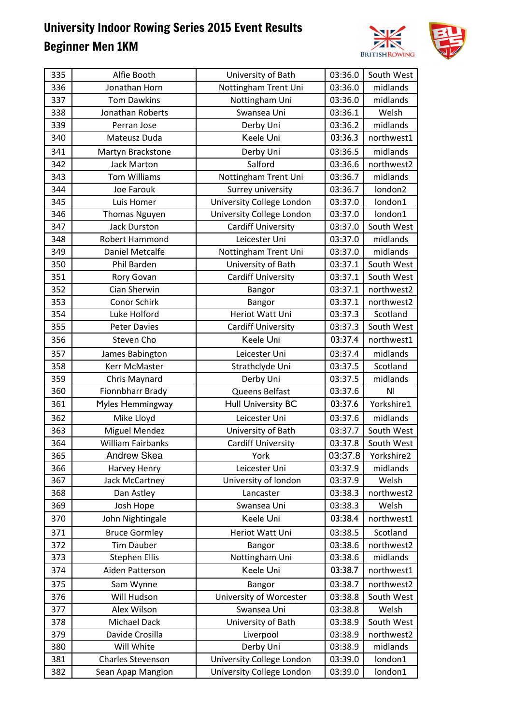

| 335 | Alfie Booth              | University of Bath        | 03:36.0 | South West |
|-----|--------------------------|---------------------------|---------|------------|
| 336 | Jonathan Horn            | Nottingham Trent Uni      | 03:36.0 | midlands   |
| 337 | <b>Tom Dawkins</b>       | Nottingham Uni            | 03:36.0 | midlands   |
| 338 | Jonathan Roberts         | Swansea Uni               | 03:36.1 | Welsh      |
| 339 | Perran Jose              | Derby Uni                 | 03:36.2 | midlands   |
| 340 | Mateusz Duda             | Keele Uni                 | 03:36.3 | northwest1 |
| 341 | Martyn Brackstone        | Derby Uni                 | 03:36.5 | midlands   |
| 342 | <b>Jack Marton</b>       | Salford                   | 03:36.6 | northwest2 |
| 343 | <b>Tom Williams</b>      | Nottingham Trent Uni      | 03:36.7 | midlands   |
| 344 | Joe Farouk               | Surrey university         | 03:36.7 | london2    |
| 345 | Luis Homer               | University College London | 03:37.0 | london1    |
| 346 | <b>Thomas Nguyen</b>     | University College London | 03:37.0 | london1    |
| 347 | <b>Jack Durston</b>      | <b>Cardiff University</b> | 03:37.0 | South West |
| 348 | <b>Robert Hammond</b>    | Leicester Uni             | 03:37.0 | midlands   |
| 349 | <b>Daniel Metcalfe</b>   | Nottingham Trent Uni      | 03:37.0 | midlands   |
| 350 | Phil Barden              | University of Bath        | 03:37.1 | South West |
| 351 | Rory Govan               | <b>Cardiff University</b> | 03:37.1 | South West |
| 352 | Cian Sherwin             | Bangor                    | 03:37.1 | northwest2 |
| 353 | Conor Schirk             | Bangor                    | 03:37.1 | northwest2 |
| 354 | Luke Holford             | Heriot Watt Uni           | 03:37.3 | Scotland   |
| 355 | <b>Peter Davies</b>      | <b>Cardiff University</b> | 03:37.3 | South West |
| 356 | Steven Cho               | Keele Uni                 | 03:37.4 | northwest1 |
| 357 | James Babington          | Leicester Uni             | 03:37.4 | midlands   |
| 358 | Kerr McMaster            | Strathclyde Uni           | 03:37.5 | Scotland   |
| 359 | Chris Maynard            | Derby Uni                 | 03:37.5 | midlands   |
| 360 | Fionnbharr Brady         | Queens Belfast            | 03:37.6 | ΝI         |
| 361 | Myles Hemmingway         | <b>Hull University BC</b> | 03:37.6 | Yorkshire1 |
| 362 | Mike Lloyd               | Leicester Uni             | 03:37.6 | midlands   |
| 363 | <b>Miguel Mendez</b>     | University of Bath        | 03:37.7 | South West |
| 364 | <b>William Fairbanks</b> | Cardiff University        | 03:37.8 | South West |
| 365 | <b>Andrew Skea</b>       | York                      | 03:37.8 | Yorkshire2 |
| 366 | Harvey Henry             | Leicester Uni             | 03:37.9 | midlands   |
| 367 | Jack McCartney           | University of london      | 03:37.9 | Welsh      |
| 368 | Dan Astley               | Lancaster                 | 03:38.3 | northwest2 |
| 369 | Josh Hope                | Swansea Uni               | 03:38.3 | Welsh      |
| 370 | John Nightingale         | Keele Uni                 | 03:38.4 | northwest1 |
| 371 | <b>Bruce Gormley</b>     | Heriot Watt Uni           | 03:38.5 | Scotland   |
| 372 | <b>Tim Dauber</b>        | Bangor                    | 03:38.6 | northwest2 |
| 373 | <b>Stephen Ellis</b>     | Nottingham Uni            | 03:38.6 | midlands   |
| 374 | Aiden Patterson          | Keele Uni                 | 03:38.7 | northwest1 |
| 375 | Sam Wynne                | Bangor                    | 03:38.7 | northwest2 |
| 376 | Will Hudson              | University of Worcester   | 03:38.8 | South West |
| 377 | Alex Wilson              | Swansea Uni               | 03:38.8 | Welsh      |
| 378 | Michael Dack             | University of Bath        | 03:38.9 | South West |
| 379 | Davide Crosilla          | Liverpool                 | 03:38.9 | northwest2 |
| 380 | Will White               | Derby Uni                 | 03:38.9 | midlands   |
| 381 | Charles Stevenson        | University College London | 03:39.0 | london1    |
| 382 | Sean Apap Mangion        | University College London | 03:39.0 | london1    |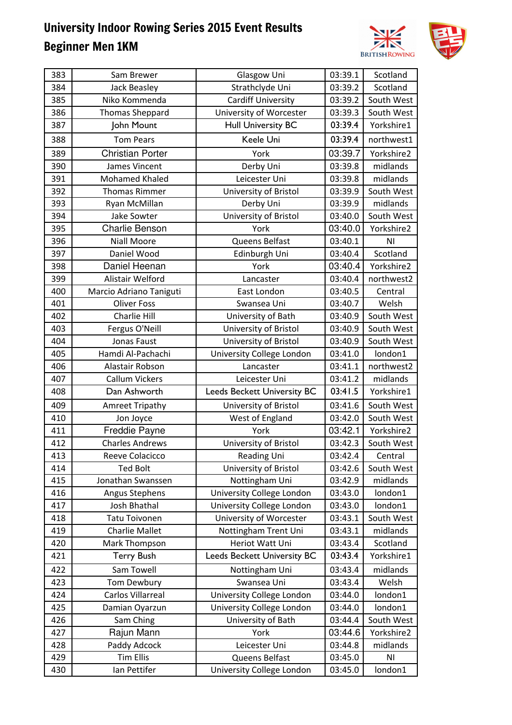

| 383 | Sam Brewer              | Glasgow Uni                        | 03:39.1 | Scotland   |
|-----|-------------------------|------------------------------------|---------|------------|
| 384 | Jack Beasley            | Strathclyde Uni                    | 03:39.2 | Scotland   |
| 385 | Niko Kommenda           | <b>Cardiff University</b>          | 03:39.2 | South West |
| 386 | <b>Thomas Sheppard</b>  | University of Worcester            | 03:39.3 | South West |
| 387 | John Mount              | <b>Hull University BC</b>          | 03:39.4 | Yorkshire1 |
| 388 | <b>Tom Pears</b>        | Keele Uni                          | 03:39.4 | northwest1 |
| 389 | <b>Christian Porter</b> | York                               | 03:39.7 | Yorkshire2 |
| 390 | James Vincent           | Derby Uni                          | 03:39.8 | midlands   |
| 391 | <b>Mohamed Khaled</b>   | Leicester Uni                      | 03:39.8 | midlands   |
| 392 | <b>Thomas Rimmer</b>    | University of Bristol              | 03:39.9 | South West |
| 393 | Ryan McMillan           | Derby Uni                          | 03:39.9 | midlands   |
| 394 | Jake Sowter             | University of Bristol              | 03:40.0 | South West |
| 395 | <b>Charlie Benson</b>   | York                               | 03:40.0 | Yorkshire2 |
| 396 | <b>Niall Moore</b>      | Queens Belfast                     | 03:40.1 | ΝI         |
| 397 | Daniel Wood             | Edinburgh Uni                      | 03:40.4 | Scotland   |
| 398 | Daniel Heenan           | York                               | 03:40.4 | Yorkshire2 |
| 399 | Alistair Welford        | Lancaster                          | 03:40.4 | northwest2 |
| 400 | Marcio Adriano Taniguti | East London                        | 03:40.5 | Central    |
| 401 | <b>Oliver Foss</b>      | Swansea Uni                        | 03:40.7 | Welsh      |
| 402 | Charlie Hill            | University of Bath                 | 03:40.9 | South West |
| 403 | Fergus O'Neill          | University of Bristol              | 03:40.9 | South West |
| 404 | Jonas Faust             | University of Bristol              | 03:40.9 | South West |
| 405 | Hamdi Al-Pachachi       | University College London          | 03:41.0 | london1    |
| 406 | Alastair Robson         | Lancaster                          | 03:41.1 | northwest2 |
| 407 | <b>Callum Vickers</b>   | Leicester Uni                      | 03:41.2 | midlands   |
| 408 | Dan Ashworth            | Leeds Beckett University BC        | 03:41.5 | Yorkshire1 |
| 409 | <b>Amreet Tripathy</b>  | University of Bristol              | 03:41.6 | South West |
| 410 | Jon Joyce               | West of England                    | 03:42.0 | South West |
| 411 | Freddie Payne           | York                               | 03:42.1 | Yorkshire2 |
| 412 | <b>Charles Andrews</b>  | University of Bristol              | 03:42.3 | South West |
| 413 | Reeve Colacicco         | Reading Uni                        | 03:42.4 | Central    |
| 414 | <b>Ted Bolt</b>         | University of Bristol              | 03:42.6 | South West |
| 415 | Jonathan Swanssen       | Nottingham Uni                     | 03:42.9 | midlands   |
| 416 | Angus Stephens          | University College London          | 03:43.0 | london1    |
| 417 | Josh Bhathal            | University College London          | 03:43.0 | london1    |
| 418 | <b>Tatu Toivonen</b>    | University of Worcester            | 03:43.1 | South West |
| 419 | <b>Charlie Mallet</b>   | Nottingham Trent Uni               | 03:43.1 | midlands   |
| 420 | Mark Thompson           | Heriot Watt Uni                    | 03:43.4 | Scotland   |
| 421 | <b>Terry Bush</b>       | <b>Leeds Beckett University BC</b> | 03:43.4 | Yorkshire1 |
| 422 | Sam Towell              | Nottingham Uni                     | 03:43.4 | midlands   |
| 423 | Tom Dewbury             | Swansea Uni                        | 03:43.4 | Welsh      |
| 424 | Carlos Villarreal       | University College London          | 03:44.0 | london1    |
| 425 | Damian Oyarzun          | University College London          | 03:44.0 | london1    |
| 426 | Sam Ching               | University of Bath                 | 03:44.4 | South West |
| 427 | Rajun Mann              | York                               | 03:44.6 | Yorkshire2 |
| 428 | Paddy Adcock            | Leicester Uni                      | 03:44.8 | midlands   |
| 429 | <b>Tim Ellis</b>        | Queens Belfast                     | 03:45.0 | ΝI         |
| 430 | Ian Pettifer            | University College London          | 03:45.0 | london1    |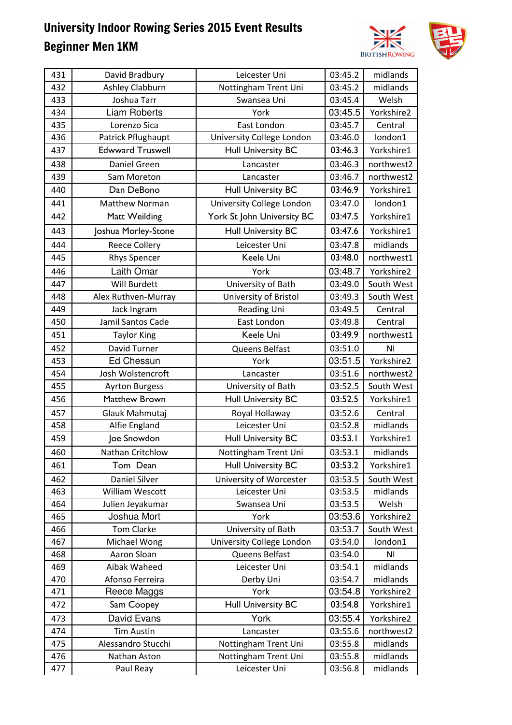

| 431 | David Bradbury          | Leicester Uni              | 03:45.2 | midlands   |
|-----|-------------------------|----------------------------|---------|------------|
| 432 | Ashley Clabburn         | Nottingham Trent Uni       | 03:45.2 | midlands   |
| 433 | Joshua Tarr             | Swansea Uni                | 03:45.4 | Welsh      |
| 434 | <b>Liam Roberts</b>     | York                       | 03:45.5 | Yorkshire2 |
| 435 | Lorenzo Sica            | East London                | 03:45.7 | Central    |
| 436 | Patrick Pflughaupt      | University College London  | 03:46.0 | london1    |
| 437 | <b>Edwward Truswell</b> | <b>Hull University BC</b>  | 03:46.3 | Yorkshire1 |
| 438 | Daniel Green            | Lancaster                  | 03:46.3 | northwest2 |
| 439 | Sam Moreton             | Lancaster                  | 03:46.7 | northwest2 |
| 440 | Dan DeBono              | <b>Hull University BC</b>  | 03:46.9 | Yorkshire1 |
| 441 | <b>Matthew Norman</b>   | University College London  | 03:47.0 | london1    |
| 442 | Matt Weilding           | York St John University BC | 03:47.5 | Yorkshire1 |
| 443 | Joshua Morley-Stone     | <b>Hull University BC</b>  | 03:47.6 | Yorkshire1 |
| 444 | <b>Reece Collery</b>    | Leicester Uni              | 03:47.8 | midlands   |
| 445 | <b>Rhys Spencer</b>     | Keele Uni                  | 03:48.0 | northwest1 |
| 446 | Laith Omar              | York                       | 03:48.7 | Yorkshire2 |
| 447 | Will Burdett            | University of Bath         | 03:49.0 | South West |
| 448 | Alex Ruthven-Murray     | University of Bristol      | 03:49.3 | South West |
| 449 | Jack Ingram             | Reading Uni                | 03:49.5 | Central    |
| 450 | Jamil Santos Cade       | East London                | 03:49.8 | Central    |
| 451 | <b>Taylor King</b>      | Keele Uni                  | 03:49.9 | northwest1 |
| 452 | David Turner            | Queens Belfast             | 03:51.0 | ΝI         |
| 453 | <b>Ed Chessun</b>       | York                       | 03:51.5 | Yorkshire2 |
| 454 | Josh Wolstencroft       | Lancaster                  | 03:51.6 | northwest2 |
| 455 | <b>Ayrton Burgess</b>   | University of Bath         | 03:52.5 | South West |
| 456 | Matthew Brown           | <b>Hull University BC</b>  | 03:52.5 | Yorkshire1 |
| 457 | Glauk Mahmutaj          | Royal Hollaway             | 03:52.6 | Central    |
| 458 | Alfie England           | Leicester Uni              | 03:52.8 | midlands   |
| 459 | Joe Snowdon             | <b>Hull University BC</b>  | 03:53.1 | Yorkshire1 |
| 460 | Nathan Critchlow        | Nottingham Trent Uni       | 03:53.1 | midlands   |
| 461 | Tom Dean                | <b>Hull University BC</b>  | 03:53.2 | Yorkshire1 |
| 462 | <b>Daniel Silver</b>    | University of Worcester    | 03:53.5 | South West |
| 463 | William Wescott         | Leicester Uni              | 03:53.5 | midlands   |
| 464 | Julien Jeyakumar        | Swansea Uni                | 03:53.5 | Welsh      |
| 465 | Joshua Mort             | York                       | 03:53.6 | Yorkshire2 |
| 466 | <b>Tom Clarke</b>       | University of Bath         | 03:53.7 | South West |
| 467 | Michael Wong            | University College London  | 03:54.0 | london1    |
| 468 | Aaron Sloan             | Queens Belfast             | 03:54.0 | ΝI         |
| 469 | Aibak Waheed            | Leicester Uni              | 03:54.1 | midlands   |
| 470 | Afonso Ferreira         | Derby Uni                  | 03:54.7 | midlands   |
| 471 | Reece Maggs             | York                       | 03:54.8 | Yorkshire2 |
| 472 | Sam Coopey              | <b>Hull University BC</b>  | 03:54.8 | Yorkshire1 |
| 473 | David Evans             | York                       | 03:55.4 | Yorkshire2 |
| 474 | <b>Tim Austin</b>       | Lancaster                  | 03:55.6 | northwest2 |
| 475 | Alessandro Stucchi      | Nottingham Trent Uni       | 03:55.8 | midlands   |
| 476 | Nathan Aston            | Nottingham Trent Uni       | 03:55.8 | midlands   |
| 477 | Paul Reay               | Leicester Uni              | 03:56.8 | midlands   |